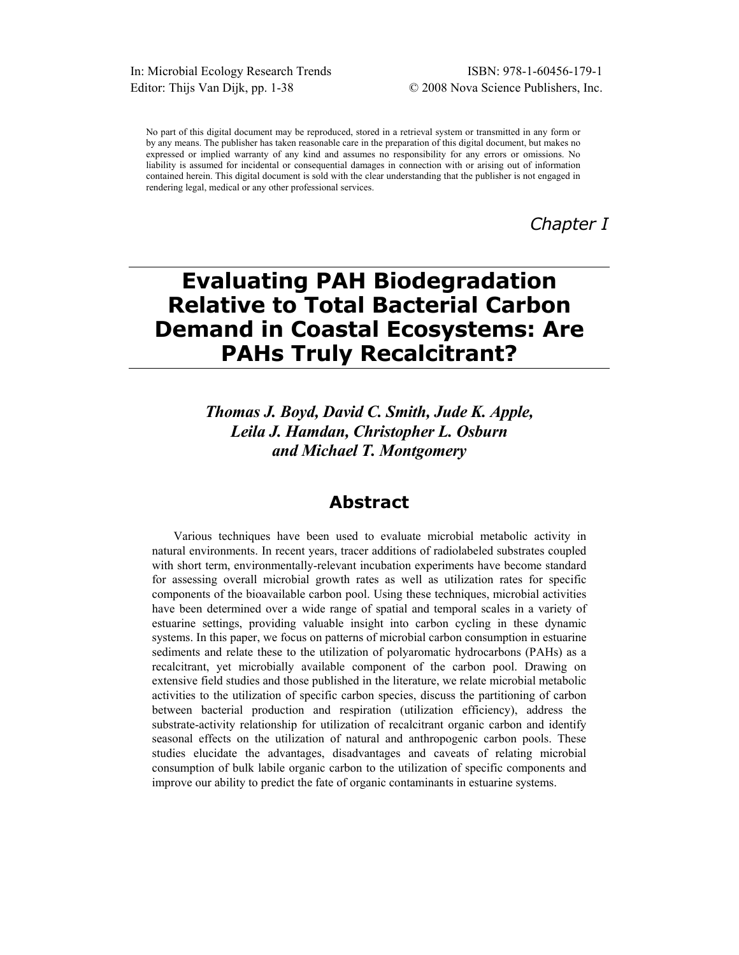In: Microbial Ecology Research Trends ISBN: 978-1-60456-179-1 Editor: Thijs Van Dijk, pp. 1-38 © 2008 Nova Science Publishers, Inc.

No part of this digital document may be reproduced, stored in a retrieval system or transmitted in any form or by any means. The publisher has taken reasonable care in the preparation of this digital document, but makes no expressed or implied warranty of any kind and assumes no responsibility for any errors or omissions. No liability is assumed for incidental or consequential damages in connection with or arising out of information contained herein. This digital document is sold with the clear understanding that the publisher is not engaged in rendering legal, medical or any other professional services.

*Chapter I* 

# **Evaluating PAH Biodegradation Relative to Total Bacterial Carbon Demand in Coastal Ecosystems: Are PAHs Truly Recalcitrant?**

*Thomas J. Boyd, David C. Smith, Jude K. Apple, Leila J. Hamdan, Christopher L. Osburn and Michael T. Montgomery* 

# **Abstract**

Various techniques have been used to evaluate microbial metabolic activity in natural environments. In recent years, tracer additions of radiolabeled substrates coupled with short term, environmentally-relevant incubation experiments have become standard for assessing overall microbial growth rates as well as utilization rates for specific components of the bioavailable carbon pool. Using these techniques, microbial activities have been determined over a wide range of spatial and temporal scales in a variety of estuarine settings, providing valuable insight into carbon cycling in these dynamic systems. In this paper, we focus on patterns of microbial carbon consumption in estuarine sediments and relate these to the utilization of polyaromatic hydrocarbons (PAHs) as a recalcitrant, yet microbially available component of the carbon pool. Drawing on extensive field studies and those published in the literature, we relate microbial metabolic activities to the utilization of specific carbon species, discuss the partitioning of carbon between bacterial production and respiration (utilization efficiency), address the substrate-activity relationship for utilization of recalcitrant organic carbon and identify seasonal effects on the utilization of natural and anthropogenic carbon pools. These studies elucidate the advantages, disadvantages and caveats of relating microbial consumption of bulk labile organic carbon to the utilization of specific components and improve our ability to predict the fate of organic contaminants in estuarine systems.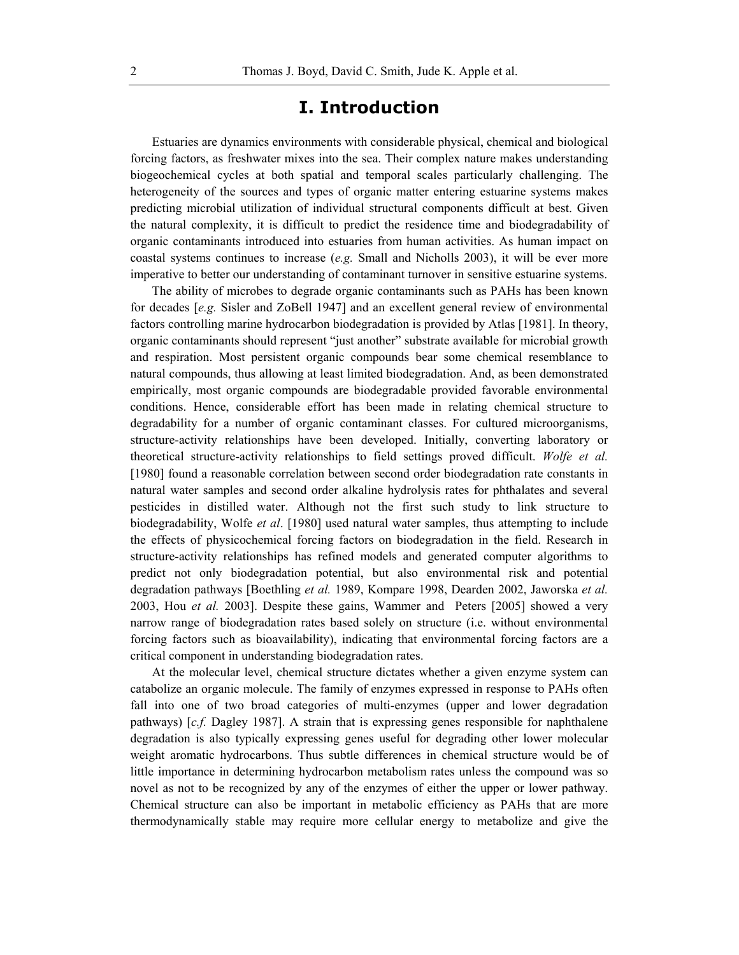## **I. Introduction**

Estuaries are dynamics environments with considerable physical, chemical and biological forcing factors, as freshwater mixes into the sea. Their complex nature makes understanding biogeochemical cycles at both spatial and temporal scales particularly challenging. The heterogeneity of the sources and types of organic matter entering estuarine systems makes predicting microbial utilization of individual structural components difficult at best. Given the natural complexity, it is difficult to predict the residence time and biodegradability of organic contaminants introduced into estuaries from human activities. As human impact on coastal systems continues to increase (*e.g.* Small and Nicholls 2003), it will be ever more imperative to better our understanding of contaminant turnover in sensitive estuarine systems.

The ability of microbes to degrade organic contaminants such as PAHs has been known for decades [*e.g.* Sisler and ZoBell 1947] and an excellent general review of environmental factors controlling marine hydrocarbon biodegradation is provided by Atlas [1981]. In theory, organic contaminants should represent "just another" substrate available for microbial growth and respiration. Most persistent organic compounds bear some chemical resemblance to natural compounds, thus allowing at least limited biodegradation. And, as been demonstrated empirically, most organic compounds are biodegradable provided favorable environmental conditions. Hence, considerable effort has been made in relating chemical structure to degradability for a number of organic contaminant classes. For cultured microorganisms, structure-activity relationships have been developed. Initially, converting laboratory or theoretical structure-activity relationships to field settings proved difficult. *Wolfe et al.* [1980] found a reasonable correlation between second order biodegradation rate constants in natural water samples and second order alkaline hydrolysis rates for phthalates and several pesticides in distilled water. Although not the first such study to link structure to biodegradability, Wolfe *et al*. [1980] used natural water samples, thus attempting to include the effects of physicochemical forcing factors on biodegradation in the field. Research in structure-activity relationships has refined models and generated computer algorithms to predict not only biodegradation potential, but also environmental risk and potential degradation pathways [Boethling *et al.* 1989, Kompare 1998, Dearden 2002, Jaworska *et al.* 2003, Hou *et al.* 2003]. Despite these gains, Wammer and Peters [2005] showed a very narrow range of biodegradation rates based solely on structure (i.e. without environmental forcing factors such as bioavailability), indicating that environmental forcing factors are a critical component in understanding biodegradation rates.

At the molecular level, chemical structure dictates whether a given enzyme system can catabolize an organic molecule. The family of enzymes expressed in response to PAHs often fall into one of two broad categories of multi-enzymes (upper and lower degradation pathways) [*c.f.* Dagley 1987]. A strain that is expressing genes responsible for naphthalene degradation is also typically expressing genes useful for degrading other lower molecular weight aromatic hydrocarbons. Thus subtle differences in chemical structure would be of little importance in determining hydrocarbon metabolism rates unless the compound was so novel as not to be recognized by any of the enzymes of either the upper or lower pathway. Chemical structure can also be important in metabolic efficiency as PAHs that are more thermodynamically stable may require more cellular energy to metabolize and give the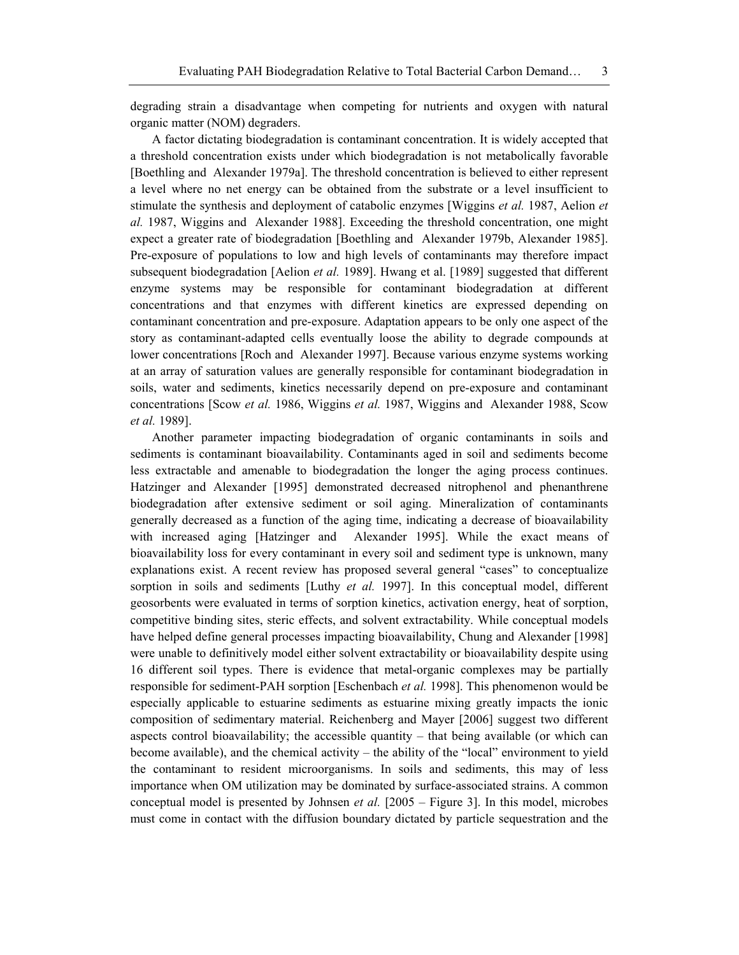degrading strain a disadvantage when competing for nutrients and oxygen with natural organic matter (NOM) degraders.

A factor dictating biodegradation is contaminant concentration. It is widely accepted that a threshold concentration exists under which biodegradation is not metabolically favorable [Boethling and Alexander 1979a]. The threshold concentration is believed to either represent a level where no net energy can be obtained from the substrate or a level insufficient to stimulate the synthesis and deployment of catabolic enzymes [Wiggins *et al.* 1987, Aelion *et al.* 1987, Wiggins and Alexander 1988]. Exceeding the threshold concentration, one might expect a greater rate of biodegradation [Boethling and Alexander 1979b, Alexander 1985]. Pre-exposure of populations to low and high levels of contaminants may therefore impact subsequent biodegradation [Aelion *et al.* 1989]. Hwang et al. [1989] suggested that different enzyme systems may be responsible for contaminant biodegradation at different concentrations and that enzymes with different kinetics are expressed depending on contaminant concentration and pre-exposure. Adaptation appears to be only one aspect of the story as contaminant-adapted cells eventually loose the ability to degrade compounds at lower concentrations [Roch and Alexander 1997]. Because various enzyme systems working at an array of saturation values are generally responsible for contaminant biodegradation in soils, water and sediments, kinetics necessarily depend on pre-exposure and contaminant concentrations [Scow *et al.* 1986, Wiggins *et al.* 1987, Wiggins and Alexander 1988, Scow *et al.* 1989].

Another parameter impacting biodegradation of organic contaminants in soils and sediments is contaminant bioavailability. Contaminants aged in soil and sediments become less extractable and amenable to biodegradation the longer the aging process continues. Hatzinger and Alexander [1995] demonstrated decreased nitrophenol and phenanthrene biodegradation after extensive sediment or soil aging. Mineralization of contaminants generally decreased as a function of the aging time, indicating a decrease of bioavailability with increased aging [Hatzinger and Alexander 1995]. While the exact means of bioavailability loss for every contaminant in every soil and sediment type is unknown, many explanations exist. A recent review has proposed several general "cases" to conceptualize sorption in soils and sediments [Luthy *et al.* 1997]. In this conceptual model, different geosorbents were evaluated in terms of sorption kinetics, activation energy, heat of sorption, competitive binding sites, steric effects, and solvent extractability. While conceptual models have helped define general processes impacting bioavailability, Chung and Alexander [1998] were unable to definitively model either solvent extractability or bioavailability despite using 16 different soil types. There is evidence that metal-organic complexes may be partially responsible for sediment-PAH sorption [Eschenbach *et al.* 1998]. This phenomenon would be especially applicable to estuarine sediments as estuarine mixing greatly impacts the ionic composition of sedimentary material. Reichenberg and Mayer [2006] suggest two different aspects control bioavailability; the accessible quantity – that being available (or which can become available), and the chemical activity – the ability of the "local" environment to yield the contaminant to resident microorganisms. In soils and sediments, this may of less importance when OM utilization may be dominated by surface-associated strains. A common conceptual model is presented by Johnsen *et al.* [2005 – Figure 3]. In this model, microbes must come in contact with the diffusion boundary dictated by particle sequestration and the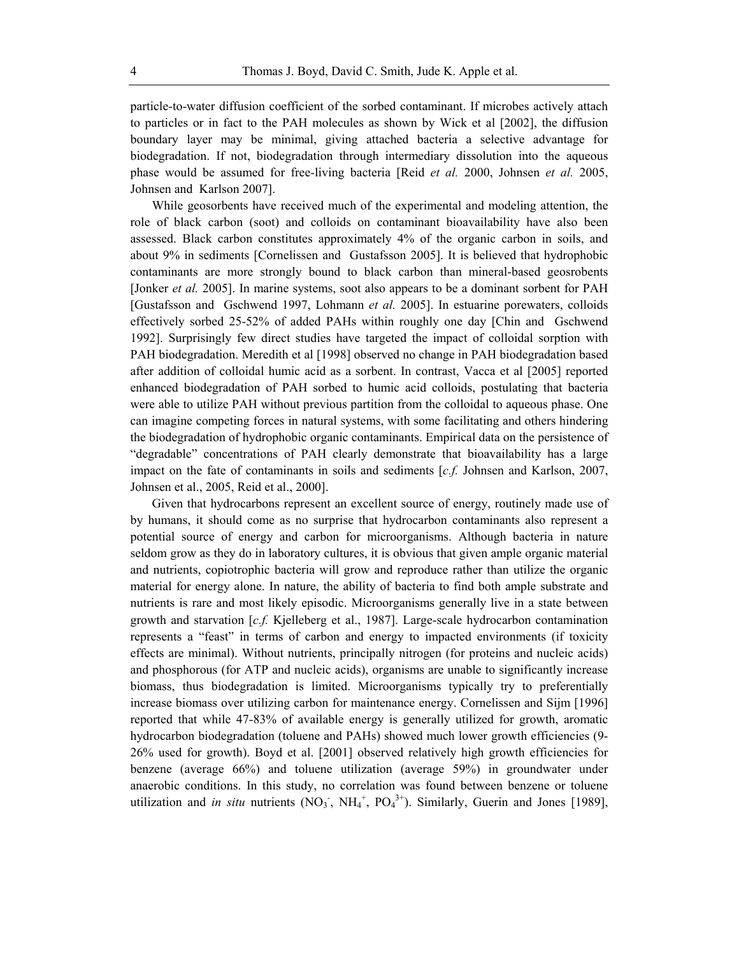particle-to-water diffusion coefficient of the sorbed contaminant. If microbes actively attach to particles or in fact to the PAH molecules as shown by Wick et al [2002], the diffusion boundary layer may be minimal, giving attached bacteria a selective advantage for biodegradation. If not, biodegradation through intermediary dissolution into the aqueous phase would be assumed for free-living bacteria [Reid *et al.* 2000, Johnsen *et al.* 2005, Johnsen and Karlson 2007].

While geosorbents have received much of the experimental and modeling attention, the role of black carbon (soot) and colloids on contaminant bioavailability have also been assessed. Black carbon constitutes approximately 4% of the organic carbon in soils, and about 9% in sediments [Cornelissen and Gustafsson 2005]. It is believed that hydrophobic contaminants are more strongly bound to black carbon than mineral-based geosrobents [Jonker *et al.* 2005]. In marine systems, soot also appears to be a dominant sorbent for PAH [Gustafsson and Gschwend 1997, Lohmann *et al.* 2005]. In estuarine porewaters, colloids effectively sorbed 25-52% of added PAHs within roughly one day [Chin and Gschwend 1992]. Surprisingly few direct studies have targeted the impact of colloidal sorption with PAH biodegradation. Meredith et al [1998] observed no change in PAH biodegradation based after addition of colloidal humic acid as a sorbent. In contrast, Vacca et al [2005] reported enhanced biodegradation of PAH sorbed to humic acid colloids, postulating that bacteria were able to utilize PAH without previous partition from the colloidal to aqueous phase. One can imagine competing forces in natural systems, with some facilitating and others hindering the biodegradation of hydrophobic organic contaminants. Empirical data on the persistence of "degradable" concentrations of PAH clearly demonstrate that bioavailability has a large impact on the fate of contaminants in soils and sediments [*c.f.* Johnsen and Karlson, 2007, Johnsen et al., 2005, Reid et al., 2000].

Given that hydrocarbons represent an excellent source of energy, routinely made use of by humans, it should come as no surprise that hydrocarbon contaminants also represent a potential source of energy and carbon for microorganisms. Although bacteria in nature seldom grow as they do in laboratory cultures, it is obvious that given ample organic material and nutrients, copiotrophic bacteria will grow and reproduce rather than utilize the organic material for energy alone. In nature, the ability of bacteria to find both ample substrate and nutrients is rare and most likely episodic. Microorganisms generally live in a state between growth and starvation [*c.f.* Kjelleberg et al., 1987]. Large-scale hydrocarbon contamination represents a "feast" in terms of carbon and energy to impacted environments (if toxicity effects are minimal). Without nutrients, principally nitrogen (for proteins and nucleic acids) and phosphorous (for ATP and nucleic acids), organisms are unable to significantly increase biomass, thus biodegradation is limited. Microorganisms typically try to preferentially increase biomass over utilizing carbon for maintenance energy. Cornelissen and Sijm [1996] reported that while 47-83% of available energy is generally utilized for growth, aromatic hydrocarbon biodegradation (toluene and PAHs) showed much lower growth efficiencies (9- 26% used for growth). Boyd et al. [2001] observed relatively high growth efficiencies for benzene (average 66%) and toluene utilization (average 59%) in groundwater under anaerobic conditions. In this study, no correlation was found between benzene or toluene utilization and *in situ* nutrients  $(NO_3, NH_4^+, PO_4^{3+})$ . Similarly, Guerin and Jones [1989],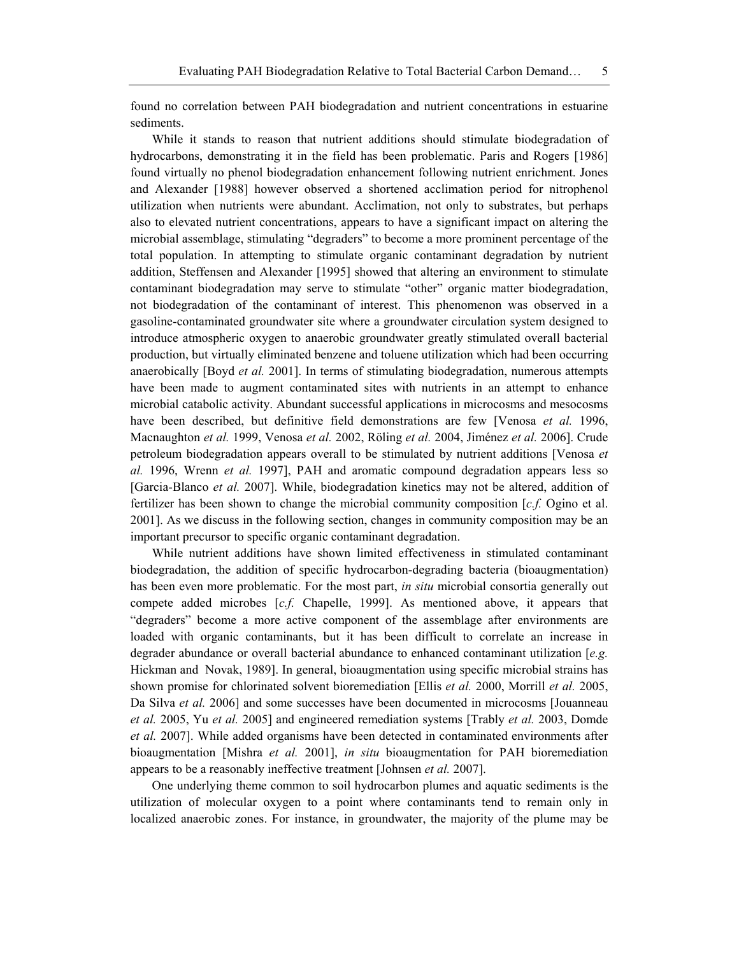found no correlation between PAH biodegradation and nutrient concentrations in estuarine sediments.

While it stands to reason that nutrient additions should stimulate biodegradation of hydrocarbons, demonstrating it in the field has been problematic. Paris and Rogers [1986] found virtually no phenol biodegradation enhancement following nutrient enrichment. Jones and Alexander [1988] however observed a shortened acclimation period for nitrophenol utilization when nutrients were abundant. Acclimation, not only to substrates, but perhaps also to elevated nutrient concentrations, appears to have a significant impact on altering the microbial assemblage, stimulating "degraders" to become a more prominent percentage of the total population. In attempting to stimulate organic contaminant degradation by nutrient addition, Steffensen and Alexander [1995] showed that altering an environment to stimulate contaminant biodegradation may serve to stimulate "other" organic matter biodegradation, not biodegradation of the contaminant of interest. This phenomenon was observed in a gasoline-contaminated groundwater site where a groundwater circulation system designed to introduce atmospheric oxygen to anaerobic groundwater greatly stimulated overall bacterial production, but virtually eliminated benzene and toluene utilization which had been occurring anaerobically [Boyd *et al.* 2001]. In terms of stimulating biodegradation, numerous attempts have been made to augment contaminated sites with nutrients in an attempt to enhance microbial catabolic activity. Abundant successful applications in microcosms and mesocosms have been described, but definitive field demonstrations are few [Venosa *et al.* 1996, Macnaughton *et al.* 1999, Venosa *et al.* 2002, Röling *et al.* 2004, Jiménez *et al.* 2006]. Crude petroleum biodegradation appears overall to be stimulated by nutrient additions [Venosa *et al.* 1996, Wrenn *et al.* 1997], PAH and aromatic compound degradation appears less so [Garcia-Blanco *et al.* 2007]. While, biodegradation kinetics may not be altered, addition of fertilizer has been shown to change the microbial community composition [*c.f.* Ogino et al. 2001]. As we discuss in the following section, changes in community composition may be an important precursor to specific organic contaminant degradation.

While nutrient additions have shown limited effectiveness in stimulated contaminant biodegradation, the addition of specific hydrocarbon-degrading bacteria (bioaugmentation) has been even more problematic. For the most part, *in situ* microbial consortia generally out compete added microbes [*c.f.* Chapelle, 1999]. As mentioned above, it appears that "degraders" become a more active component of the assemblage after environments are loaded with organic contaminants, but it has been difficult to correlate an increase in degrader abundance or overall bacterial abundance to enhanced contaminant utilization [*e.g.* Hickman and Novak, 1989]. In general, bioaugmentation using specific microbial strains has shown promise for chlorinated solvent bioremediation [Ellis *et al.* 2000, Morrill *et al.* 2005, Da Silva *et al.* 2006] and some successes have been documented in microcosms [Jouanneau *et al.* 2005, Yu *et al.* 2005] and engineered remediation systems [Trably *et al.* 2003, Domde *et al.* 2007]. While added organisms have been detected in contaminated environments after bioaugmentation [Mishra *et al.* 2001], *in situ* bioaugmentation for PAH bioremediation appears to be a reasonably ineffective treatment [Johnsen *et al.* 2007].

One underlying theme common to soil hydrocarbon plumes and aquatic sediments is the utilization of molecular oxygen to a point where contaminants tend to remain only in localized anaerobic zones. For instance, in groundwater, the majority of the plume may be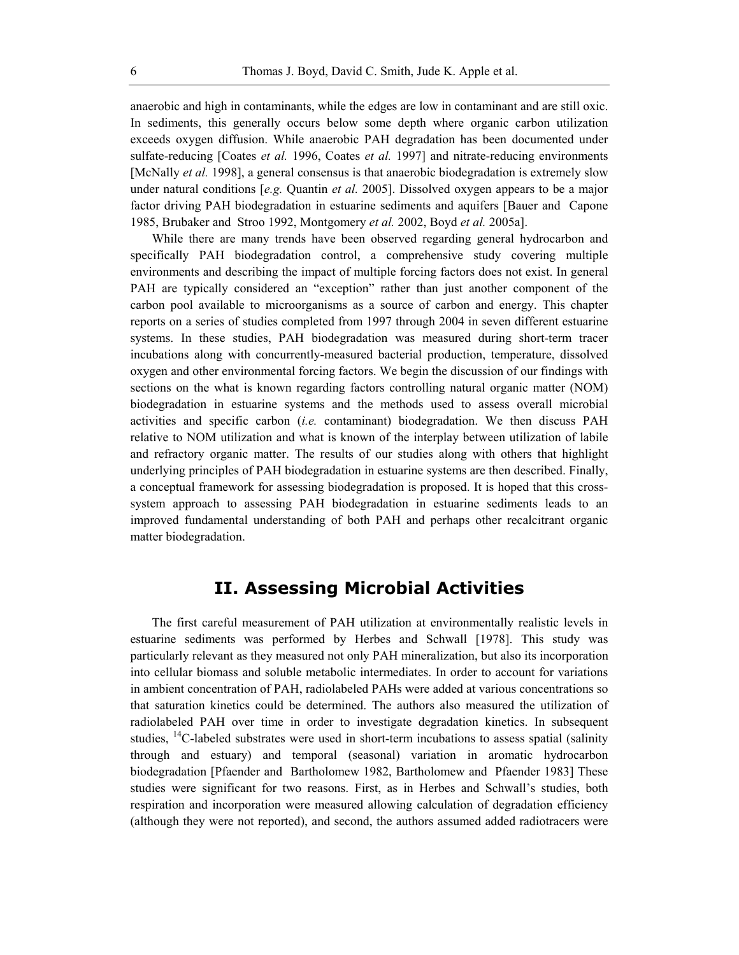anaerobic and high in contaminants, while the edges are low in contaminant and are still oxic. In sediments, this generally occurs below some depth where organic carbon utilization exceeds oxygen diffusion. While anaerobic PAH degradation has been documented under sulfate-reducing [Coates *et al.* 1996, Coates *et al.* 1997] and nitrate-reducing environments [McNally *et al.* 1998], a general consensus is that anaerobic biodegradation is extremely slow under natural conditions [*e.g.* Quantin *et al.* 2005]. Dissolved oxygen appears to be a major factor driving PAH biodegradation in estuarine sediments and aquifers [Bauer and Capone 1985, Brubaker and Stroo 1992, Montgomery *et al.* 2002, Boyd *et al.* 2005a].

While there are many trends have been observed regarding general hydrocarbon and specifically PAH biodegradation control, a comprehensive study covering multiple environments and describing the impact of multiple forcing factors does not exist. In general PAH are typically considered an "exception" rather than just another component of the carbon pool available to microorganisms as a source of carbon and energy. This chapter reports on a series of studies completed from 1997 through 2004 in seven different estuarine systems. In these studies, PAH biodegradation was measured during short-term tracer incubations along with concurrently-measured bacterial production, temperature, dissolved oxygen and other environmental forcing factors. We begin the discussion of our findings with sections on the what is known regarding factors controlling natural organic matter (NOM) biodegradation in estuarine systems and the methods used to assess overall microbial activities and specific carbon (*i.e.* contaminant) biodegradation. We then discuss PAH relative to NOM utilization and what is known of the interplay between utilization of labile and refractory organic matter. The results of our studies along with others that highlight underlying principles of PAH biodegradation in estuarine systems are then described. Finally, a conceptual framework for assessing biodegradation is proposed. It is hoped that this crosssystem approach to assessing PAH biodegradation in estuarine sediments leads to an improved fundamental understanding of both PAH and perhaps other recalcitrant organic matter biodegradation.

# **II. Assessing Microbial Activities**

The first careful measurement of PAH utilization at environmentally realistic levels in estuarine sediments was performed by Herbes and Schwall [1978]. This study was particularly relevant as they measured not only PAH mineralization, but also its incorporation into cellular biomass and soluble metabolic intermediates. In order to account for variations in ambient concentration of PAH, radiolabeled PAHs were added at various concentrations so that saturation kinetics could be determined. The authors also measured the utilization of radiolabeled PAH over time in order to investigate degradation kinetics. In subsequent studies,  $^{14}$ C-labeled substrates were used in short-term incubations to assess spatial (salinity through and estuary) and temporal (seasonal) variation in aromatic hydrocarbon biodegradation [Pfaender and Bartholomew 1982, Bartholomew and Pfaender 1983] These studies were significant for two reasons. First, as in Herbes and Schwall's studies, both respiration and incorporation were measured allowing calculation of degradation efficiency (although they were not reported), and second, the authors assumed added radiotracers were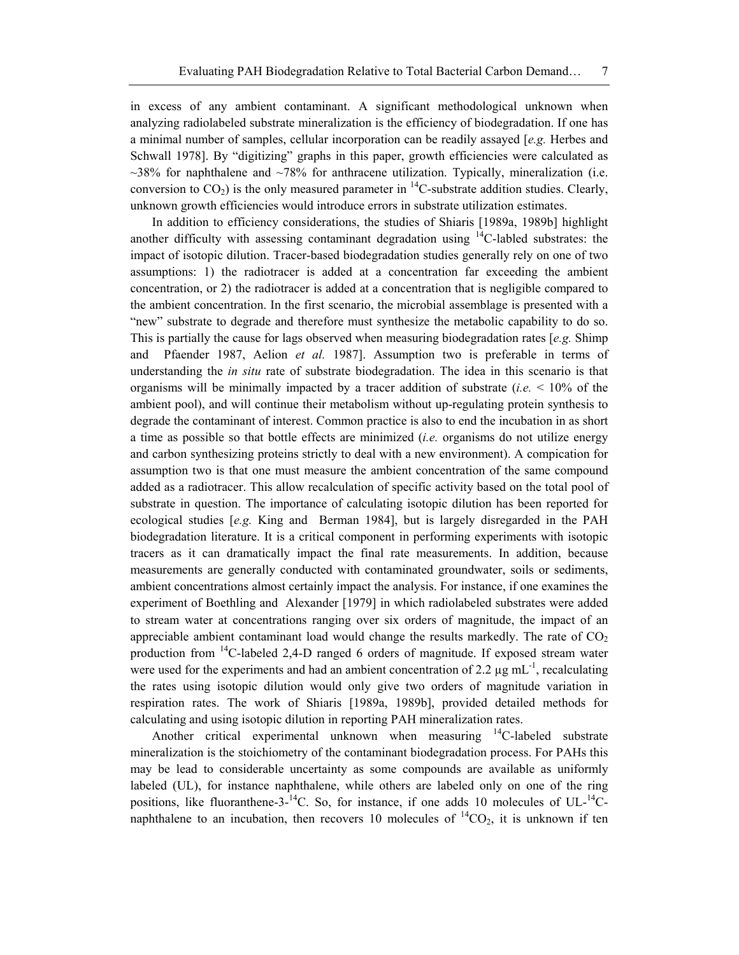in excess of any ambient contaminant. A significant methodological unknown when analyzing radiolabeled substrate mineralization is the efficiency of biodegradation. If one has a minimal number of samples, cellular incorporation can be readily assayed [*e.g.* Herbes and Schwall 1978]. By "digitizing" graphs in this paper, growth efficiencies were calculated as  $\sim$ 38% for naphthalene and  $\sim$ 78% for anthracene utilization. Typically, mineralization (i.e. conversion to  $CO<sub>2</sub>$ ) is the only measured parameter in <sup>14</sup>C-substrate addition studies. Clearly, unknown growth efficiencies would introduce errors in substrate utilization estimates.

In addition to efficiency considerations, the studies of Shiaris [1989a, 1989b] highlight another difficulty with assessing contaminant degradation using  $^{14}$ C-labled substrates: the impact of isotopic dilution. Tracer-based biodegradation studies generally rely on one of two assumptions: 1) the radiotracer is added at a concentration far exceeding the ambient concentration, or 2) the radiotracer is added at a concentration that is negligible compared to the ambient concentration. In the first scenario, the microbial assemblage is presented with a "new" substrate to degrade and therefore must synthesize the metabolic capability to do so. This is partially the cause for lags observed when measuring biodegradation rates [*e.g.* Shimp and Pfaender 1987, Aelion *et al.* 1987]. Assumption two is preferable in terms of understanding the *in situ* rate of substrate biodegradation. The idea in this scenario is that organisms will be minimally impacted by a tracer addition of substrate (*i.e.*  $\leq 10\%$  of the ambient pool), and will continue their metabolism without up-regulating protein synthesis to degrade the contaminant of interest. Common practice is also to end the incubation in as short a time as possible so that bottle effects are minimized (*i.e.* organisms do not utilize energy and carbon synthesizing proteins strictly to deal with a new environment). A compication for assumption two is that one must measure the ambient concentration of the same compound added as a radiotracer. This allow recalculation of specific activity based on the total pool of substrate in question. The importance of calculating isotopic dilution has been reported for ecological studies [*e.g.* King and Berman 1984], but is largely disregarded in the PAH biodegradation literature. It is a critical component in performing experiments with isotopic tracers as it can dramatically impact the final rate measurements. In addition, because measurements are generally conducted with contaminated groundwater, soils or sediments, ambient concentrations almost certainly impact the analysis. For instance, if one examines the experiment of Boethling and Alexander [1979] in which radiolabeled substrates were added to stream water at concentrations ranging over six orders of magnitude, the impact of an appreciable ambient contaminant load would change the results markedly. The rate of  $CO<sub>2</sub>$ production from  $^{14}$ C-labeled 2,4-D ranged 6 orders of magnitude. If exposed stream water were used for the experiments and had an ambient concentration of 2.2  $\mu$ g mL<sup>-1</sup>, recalculating the rates using isotopic dilution would only give two orders of magnitude variation in respiration rates. The work of Shiaris [1989a, 1989b], provided detailed methods for calculating and using isotopic dilution in reporting PAH mineralization rates.

Another critical experimental unknown when measuring <sup>14</sup>C-labeled substrate mineralization is the stoichiometry of the contaminant biodegradation process. For PAHs this may be lead to considerable uncertainty as some compounds are available as uniformly labeled (UL), for instance naphthalene, while others are labeled only on one of the ring positions, like fluoranthene-3- $^{14}$ C. So, for instance, if one adds 10 molecules of UL- $^{14}$ Cnaphthalene to an incubation, then recovers 10 molecules of  ${}^{14}CO_2$ , it is unknown if ten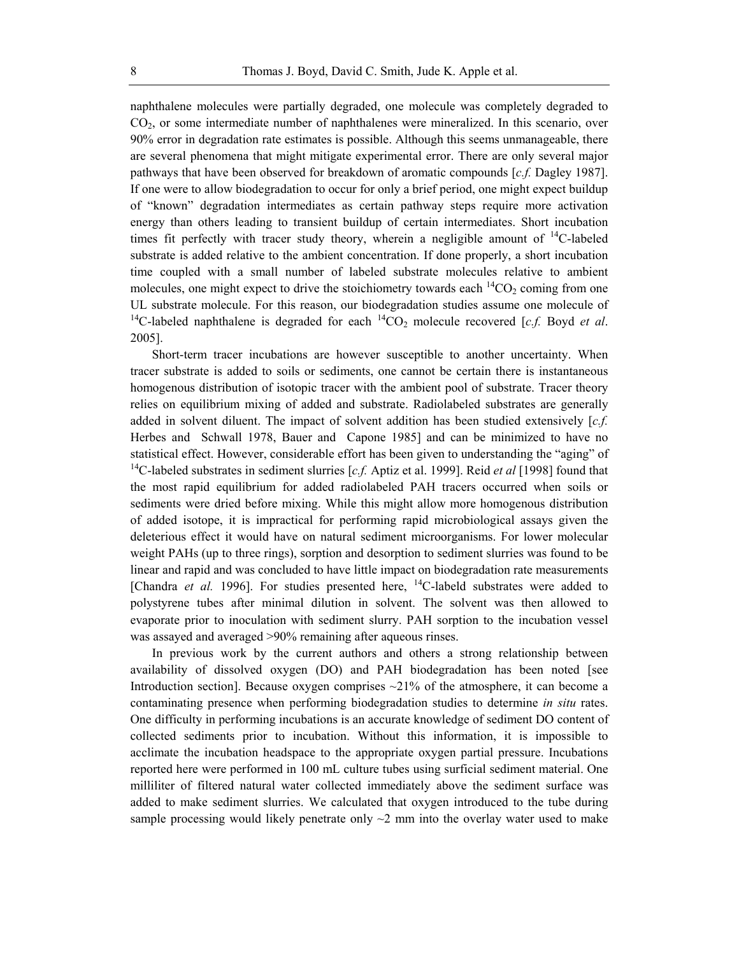naphthalene molecules were partially degraded, one molecule was completely degraded to CO2, or some intermediate number of naphthalenes were mineralized. In this scenario, over 90% error in degradation rate estimates is possible. Although this seems unmanageable, there are several phenomena that might mitigate experimental error. There are only several major pathways that have been observed for breakdown of aromatic compounds [*c.f.* Dagley 1987]. If one were to allow biodegradation to occur for only a brief period, one might expect buildup of "known" degradation intermediates as certain pathway steps require more activation energy than others leading to transient buildup of certain intermediates. Short incubation times fit perfectly with tracer study theory, wherein a negligible amount of  $^{14}$ C-labeled substrate is added relative to the ambient concentration. If done properly, a short incubation time coupled with a small number of labeled substrate molecules relative to ambient molecules, one might expect to drive the stoichiometry towards each  ${}^{14}CO_2$  coming from one UL substrate molecule. For this reason, our biodegradation studies assume one molecule of <sup>14</sup>C-labeled naphthalene is degraded for each <sup>14</sup>CO<sub>2</sub> molecule recovered [c.f. Boyd *et al.* 2005].

Short-term tracer incubations are however susceptible to another uncertainty. When tracer substrate is added to soils or sediments, one cannot be certain there is instantaneous homogenous distribution of isotopic tracer with the ambient pool of substrate. Tracer theory relies on equilibrium mixing of added and substrate. Radiolabeled substrates are generally added in solvent diluent. The impact of solvent addition has been studied extensively [*c.f.* Herbes and Schwall 1978, Bauer and Capone 1985] and can be minimized to have no statistical effect. However, considerable effort has been given to understanding the "aging" of 14C-labeled substrates in sediment slurries [*c.f.* Aptiz et al. 1999]. Reid *et al* [1998] found that the most rapid equilibrium for added radiolabeled PAH tracers occurred when soils or sediments were dried before mixing. While this might allow more homogenous distribution of added isotope, it is impractical for performing rapid microbiological assays given the deleterious effect it would have on natural sediment microorganisms. For lower molecular weight PAHs (up to three rings), sorption and desorption to sediment slurries was found to be linear and rapid and was concluded to have little impact on biodegradation rate measurements [Chandra *et al.* 1996]. For studies presented here,  $^{14}$ C-labeld substrates were added to polystyrene tubes after minimal dilution in solvent. The solvent was then allowed to evaporate prior to inoculation with sediment slurry. PAH sorption to the incubation vessel was assayed and averaged >90% remaining after aqueous rinses.

In previous work by the current authors and others a strong relationship between availability of dissolved oxygen (DO) and PAH biodegradation has been noted [see Introduction section]. Because oxygen comprises  $\sim$ 21% of the atmosphere, it can become a contaminating presence when performing biodegradation studies to determine *in situ* rates. One difficulty in performing incubations is an accurate knowledge of sediment DO content of collected sediments prior to incubation. Without this information, it is impossible to acclimate the incubation headspace to the appropriate oxygen partial pressure. Incubations reported here were performed in 100 mL culture tubes using surficial sediment material. One milliliter of filtered natural water collected immediately above the sediment surface was added to make sediment slurries. We calculated that oxygen introduced to the tube during sample processing would likely penetrate only  $\sim$ 2 mm into the overlay water used to make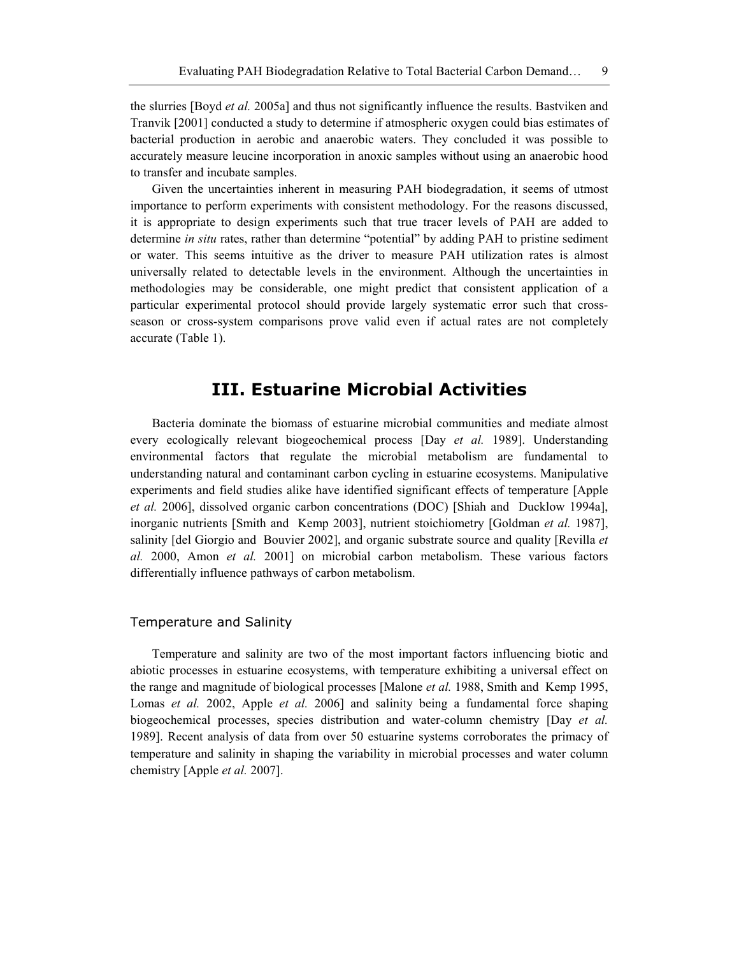the slurries [Boyd *et al.* 2005a] and thus not significantly influence the results. Bastviken and Tranvik [2001] conducted a study to determine if atmospheric oxygen could bias estimates of bacterial production in aerobic and anaerobic waters. They concluded it was possible to accurately measure leucine incorporation in anoxic samples without using an anaerobic hood to transfer and incubate samples.

Given the uncertainties inherent in measuring PAH biodegradation, it seems of utmost importance to perform experiments with consistent methodology. For the reasons discussed, it is appropriate to design experiments such that true tracer levels of PAH are added to determine *in situ* rates, rather than determine "potential" by adding PAH to pristine sediment or water. This seems intuitive as the driver to measure PAH utilization rates is almost universally related to detectable levels in the environment. Although the uncertainties in methodologies may be considerable, one might predict that consistent application of a particular experimental protocol should provide largely systematic error such that crossseason or cross-system comparisons prove valid even if actual rates are not completely accurate (Table 1).

## **III. Estuarine Microbial Activities**

Bacteria dominate the biomass of estuarine microbial communities and mediate almost every ecologically relevant biogeochemical process [Day *et al.* 1989]. Understanding environmental factors that regulate the microbial metabolism are fundamental to understanding natural and contaminant carbon cycling in estuarine ecosystems. Manipulative experiments and field studies alike have identified significant effects of temperature [Apple *et al.* 2006], dissolved organic carbon concentrations (DOC) [Shiah and Ducklow 1994a], inorganic nutrients [Smith and Kemp 2003], nutrient stoichiometry [Goldman *et al.* 1987], salinity [del Giorgio and Bouvier 2002], and organic substrate source and quality [Revilla *et al.* 2000, Amon *et al.* 2001] on microbial carbon metabolism. These various factors differentially influence pathways of carbon metabolism.

#### Temperature and Salinity

Temperature and salinity are two of the most important factors influencing biotic and abiotic processes in estuarine ecosystems, with temperature exhibiting a universal effect on the range and magnitude of biological processes [Malone *et al.* 1988, Smith and Kemp 1995, Lomas *et al.* 2002, Apple *et al.* 2006] and salinity being a fundamental force shaping biogeochemical processes, species distribution and water-column chemistry [Day *et al.* 1989]. Recent analysis of data from over 50 estuarine systems corroborates the primacy of temperature and salinity in shaping the variability in microbial processes and water column chemistry [Apple *et al.* 2007].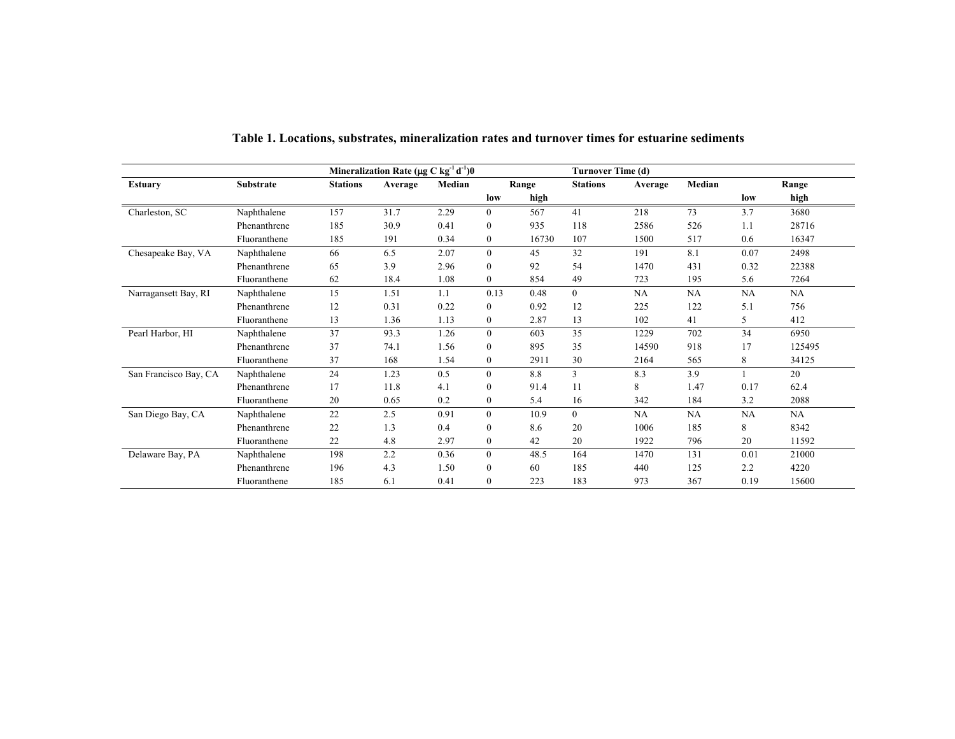|                       |                  | Mineralization Rate ( $\mu$ g C kg <sup>-1</sup> d <sup>-1</sup> )0 |         |        |                | Turnover Time (d) |                  |           |        |           |        |  |
|-----------------------|------------------|---------------------------------------------------------------------|---------|--------|----------------|-------------------|------------------|-----------|--------|-----------|--------|--|
| <b>Estuary</b>        | <b>Substrate</b> | <b>Stations</b>                                                     | Average | Median | Range          |                   | <b>Stations</b>  | Average   | Median |           | Range  |  |
|                       |                  |                                                                     |         |        | low            | high              |                  |           |        | low       | high   |  |
| Charleston, SC        | Naphthalene      | 157                                                                 | 31.7    | 2.29   | $\mathbf{0}$   | 567               | 41               | 218       | 73     | 3.7       | 3680   |  |
|                       | Phenanthrene     | 185                                                                 | 30.9    | 0.41   | $\mathbf{0}$   | 935               | 118              | 2586      | 526    | 1.1       | 28716  |  |
|                       | Fluoranthene     | 185                                                                 | 191     | 0.34   | $\bf{0}$       | 16730             | 107              | 1500      | 517    | 0.6       | 16347  |  |
| Chesapeake Bay, VA    | Naphthalene      | 66                                                                  | 6.5     | 2.07   | $\mathbf{0}$   | 45                | 32               | 191       | 8.1    | 0.07      | 2498   |  |
|                       | Phenanthrene     | 65                                                                  | 3.9     | 2.96   | $\mathbf{0}$   | 92                | 54               | 1470      | 431    | 0.32      | 22388  |  |
|                       | Fluoranthene     | 62                                                                  | 18.4    | 1.08   | $\mathbf{0}$   | 854               | 49               | 723       | 195    | 5.6       | 7264   |  |
| Narragansett Bay, RI  | Naphthalene      | 15                                                                  | 1.51    | 1.1    | 0.13           | 0.48              | $\boldsymbol{0}$ | <b>NA</b> | NA     | NA        | NA     |  |
|                       | Phenanthrene     | 12                                                                  | 0.31    | 0.22   | $\mathbf{0}$   | 0.92              | 12               | 225       | 122    | 5.1       | 756    |  |
|                       | Fluoranthene     | 13                                                                  | 1.36    | 1.13   | $\mathbf{0}$   | 2.87              | 13               | 102       | 41     | 5         | 412    |  |
| Pearl Harbor, HI      | Naphthalene      | 37                                                                  | 93.3    | 1.26   | $\mathbf{0}$   | 603               | 35               | 1229      | 702    | 34        | 6950   |  |
|                       | Phenanthrene     | 37                                                                  | 74.1    | 1.56   | $\mathbf{0}$   | 895               | 35               | 14590     | 918    | 17        | 125495 |  |
|                       | Fluoranthene     | 37                                                                  | 168     | 1.54   | $\bf{0}$       | 2911              | 30               | 2164      | 565    | 8         | 34125  |  |
| San Francisco Bay, CA | Naphthalene      | 24                                                                  | 1.23    | 0.5    | $\mathbf{0}$   | 8.8               | 3                | 8.3       | 3.9    |           | 20     |  |
|                       | Phenanthrene     | 17                                                                  | 11.8    | 4.1    | $\mathbf{0}$   | 91.4              | 11               | 8         | 1.47   | 0.17      | 62.4   |  |
|                       | Fluoranthene     | 20                                                                  | 0.65    | 0.2    | $\mathbf{0}$   | 5.4               | 16               | 342       | 184    | 3.2       | 2088   |  |
| San Diego Bay, CA     | Naphthalene      | 22                                                                  | 2.5     | 0.91   | $\theta$       | 10.9              | $\boldsymbol{0}$ | NA        | NA     | <b>NA</b> | NA     |  |
|                       | Phenanthrene     | 22                                                                  | 1.3     | 0.4    | $\mathbf{0}$   | 8.6               | 20               | 1006      | 185    | 8         | 8342   |  |
|                       | Fluoranthene     | 22                                                                  | 4.8     | 2.97   | $\mathbf{0}$   | 42                | 20               | 1922      | 796    | 20        | 11592  |  |
| Delaware Bay, PA      | Naphthalene      | 198                                                                 | 2.2     | 0.36   | $\overline{0}$ | 48.5              | 164              | 1470      | 131    | 0.01      | 21000  |  |
|                       | Phenanthrene     | 196                                                                 | 4.3     | 1.50   | $\mathbf{0}$   | 60                | 185              | 440       | 125    | 2.2       | 4220   |  |
|                       | Fluoranthene     | 185                                                                 | 6.1     | 0.41   | $\mathbf{0}$   | 223               | 183              | 973       | 367    | 0.19      | 15600  |  |

**Table 1. Locations, substrates, mineralization rates and turnover times for estuarine sediments**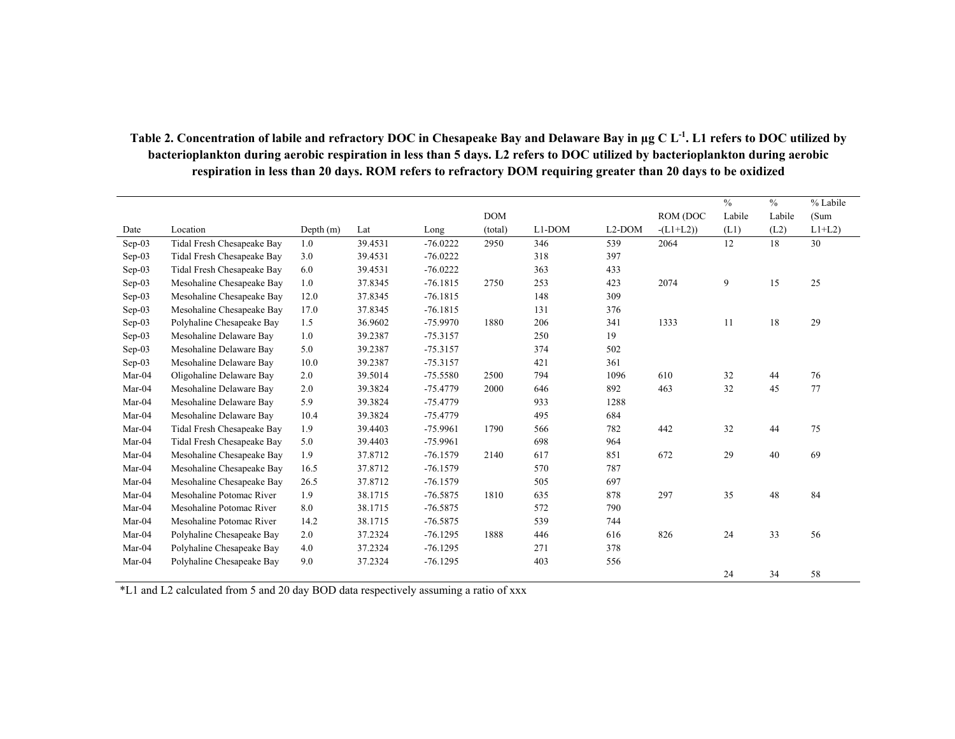|          |                            |             |         |            |            |        |                     |           | $\frac{0}{0}$ | $\frac{0}{0}$ | % Labile |
|----------|----------------------------|-------------|---------|------------|------------|--------|---------------------|-----------|---------------|---------------|----------|
|          |                            |             |         |            | <b>DOM</b> |        |                     | ROM (DOC  | Labile        | Labile        | (Sum     |
| Date     | Location                   | Depth $(m)$ | Lat     | Long       | (total)    | L1-DOM | L <sub>2</sub> -DOM | $-L1+L2)$ | (L1)          | (L2)          | $L1+L2$  |
| Sep-03   | Tidal Fresh Chesapeake Bay | 1.0         | 39.4531 | $-76.0222$ | 2950       | 346    | 539                 | 2064      | 12            | 18            | 30       |
| $Sep-03$ | Tidal Fresh Chesapeake Bay | 3.0         | 39.4531 | $-76.0222$ |            | 318    | 397                 |           |               |               |          |
| $Sep-03$ | Tidal Fresh Chesapeake Bay | 6.0         | 39.4531 | $-76.0222$ |            | 363    | 433                 |           |               |               |          |
| $Sep-03$ | Mesohaline Chesapeake Bay  | 1.0         | 37.8345 | $-76.1815$ | 2750       | 253    | 423                 | 2074      | 9             | 15            | 25       |
| Sep-03   | Mesohaline Chesapeake Bay  | 12.0        | 37.8345 | $-76.1815$ |            | 148    | 309                 |           |               |               |          |
| Sep-03   | Mesohaline Chesapeake Bay  | 17.0        | 37.8345 | $-76.1815$ |            | 131    | 376                 |           |               |               |          |
| $Sep-03$ | Polyhaline Chesapeake Bay  | 1.5         | 36.9602 | $-75.9970$ | 1880       | 206    | 341                 | 1333      | 11            | 18            | 29       |
| $Sep-03$ | Mesohaline Delaware Bay    | 1.0         | 39.2387 | $-75.3157$ |            | 250    | 19                  |           |               |               |          |
| Sep-03   | Mesohaline Delaware Bay    | 5.0         | 39.2387 | $-75.3157$ |            | 374    | 502                 |           |               |               |          |
| $Sep-03$ | Mesohaline Delaware Bay    | 10.0        | 39.2387 | $-75.3157$ |            | 421    | 361                 |           |               |               |          |
| Mar-04   | Oligohaline Delaware Bay   | 2.0         | 39.5014 | $-75.5580$ | 2500       | 794    | 1096                | 610       | 32            | 44            | 76       |
| Mar-04   | Mesohaline Delaware Bay    | 2.0         | 39.3824 | $-75.4779$ | 2000       | 646    | 892                 | 463       | 32            | 45            | 77       |
| Mar-04   | Mesohaline Delaware Bay    | 5.9         | 39.3824 | $-75.4779$ |            | 933    | 1288                |           |               |               |          |
| Mar-04   | Mesohaline Delaware Bay    | 10.4        | 39.3824 | $-75.4779$ |            | 495    | 684                 |           |               |               |          |
| Mar-04   | Tidal Fresh Chesapeake Bay | 1.9         | 39.4403 | $-75.9961$ | 1790       | 566    | 782                 | 442       | 32            | 44            | 75       |
| Mar-04   | Tidal Fresh Chesapeake Bay | 5.0         | 39.4403 | $-75.9961$ |            | 698    | 964                 |           |               |               |          |
| Mar-04   | Mesohaline Chesapeake Bay  | 1.9         | 37.8712 | $-76.1579$ | 2140       | 617    | 851                 | 672       | 29            | 40            | 69       |
| Mar-04   | Mesohaline Chesapeake Bay  | 16.5        | 37.8712 | $-76.1579$ |            | 570    | 787                 |           |               |               |          |
| Mar-04   | Mesohaline Chesapeake Bay  | 26.5        | 37.8712 | $-76.1579$ |            | 505    | 697                 |           |               |               |          |
| Mar-04   | Mesohaline Potomac River   | 1.9         | 38.1715 | $-76.5875$ | 1810       | 635    | 878                 | 297       | 35            | 48            | 84       |
| Mar-04   | Mesohaline Potomac River   | 8.0         | 38.1715 | $-76.5875$ |            | 572    | 790                 |           |               |               |          |
| Mar-04   | Mesohaline Potomac River   | 14.2        | 38.1715 | $-76.5875$ |            | 539    | 744                 |           |               |               |          |
| Mar-04   | Polyhaline Chesapeake Bay  | 2.0         | 37.2324 | $-76.1295$ | 1888       | 446    | 616                 | 826       | 24            | 33            | 56       |
| Mar-04   | Polyhaline Chesapeake Bay  | 4.0         | 37.2324 | $-76.1295$ |            | 271    | 378                 |           |               |               |          |
| Mar-04   | Polyhaline Chesapeake Bay  | 9.0         | 37.2324 | $-76.1295$ |            | 403    | 556                 |           |               |               |          |
|          |                            |             |         |            |            |        |                     |           | 24            | 34            | 58       |

### **Table 2. Concentration of labile and refractory DOC in Chesapeake Bay and Delaware Bay in µg C L-1. L1 refers to DOC utilized by bacterioplankton during aerobic respiration in less than 5 days. L2 refers to DOC utilized by bacterioplankton during aerobic**  respiration in less than 20 days. ROM refers to refractory DOM requiring greater than 20 days to be oxidized

\*L1 and L2 calculated from 5 and 20 day BOD data respectively assuming a ratio of xxx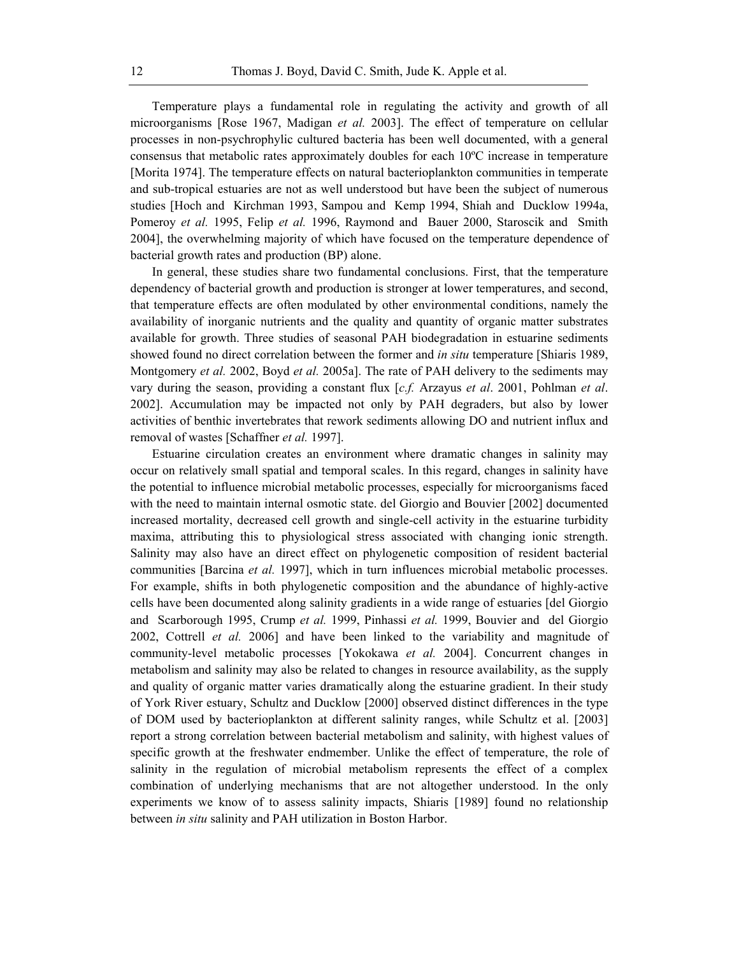Temperature plays a fundamental role in regulating the activity and growth of all microorganisms [Rose 1967, Madigan *et al.* 2003]. The effect of temperature on cellular processes in non-psychrophylic cultured bacteria has been well documented, with a general consensus that metabolic rates approximately doubles for each 10ºC increase in temperature [Morita 1974]. The temperature effects on natural bacterioplankton communities in temperate and sub-tropical estuaries are not as well understood but have been the subject of numerous studies [Hoch and Kirchman 1993, Sampou and Kemp 1994, Shiah and Ducklow 1994a, Pomeroy *et al.* 1995, Felip *et al.* 1996, Raymond and Bauer 2000, Staroscik and Smith 2004], the overwhelming majority of which have focused on the temperature dependence of bacterial growth rates and production (BP) alone.

In general, these studies share two fundamental conclusions. First, that the temperature dependency of bacterial growth and production is stronger at lower temperatures, and second, that temperature effects are often modulated by other environmental conditions, namely the availability of inorganic nutrients and the quality and quantity of organic matter substrates available for growth. Three studies of seasonal PAH biodegradation in estuarine sediments showed found no direct correlation between the former and *in situ* temperature [Shiaris 1989, Montgomery *et al.* 2002, Boyd *et al.* 2005a]. The rate of PAH delivery to the sediments may vary during the season, providing a constant flux [*c.f.* Arzayus *et al*. 2001, Pohlman *et al*. 2002]. Accumulation may be impacted not only by PAH degraders, but also by lower activities of benthic invertebrates that rework sediments allowing DO and nutrient influx and removal of wastes [Schaffner *et al.* 1997].

Estuarine circulation creates an environment where dramatic changes in salinity may occur on relatively small spatial and temporal scales. In this regard, changes in salinity have the potential to influence microbial metabolic processes, especially for microorganisms faced with the need to maintain internal osmotic state. del Giorgio and Bouvier [2002] documented increased mortality, decreased cell growth and single-cell activity in the estuarine turbidity maxima, attributing this to physiological stress associated with changing ionic strength. Salinity may also have an direct effect on phylogenetic composition of resident bacterial communities [Barcina *et al.* 1997], which in turn influences microbial metabolic processes. For example, shifts in both phylogenetic composition and the abundance of highly-active cells have been documented along salinity gradients in a wide range of estuaries [del Giorgio and Scarborough 1995, Crump *et al.* 1999, Pinhassi *et al.* 1999, Bouvier and del Giorgio 2002, Cottrell *et al.* 2006] and have been linked to the variability and magnitude of community-level metabolic processes [Yokokawa *et al.* 2004]. Concurrent changes in metabolism and salinity may also be related to changes in resource availability, as the supply and quality of organic matter varies dramatically along the estuarine gradient. In their study of York River estuary, Schultz and Ducklow [2000] observed distinct differences in the type of DOM used by bacterioplankton at different salinity ranges, while Schultz et al. [2003] report a strong correlation between bacterial metabolism and salinity, with highest values of specific growth at the freshwater endmember. Unlike the effect of temperature, the role of salinity in the regulation of microbial metabolism represents the effect of a complex combination of underlying mechanisms that are not altogether understood. In the only experiments we know of to assess salinity impacts, Shiaris [1989] found no relationship between *in situ* salinity and PAH utilization in Boston Harbor.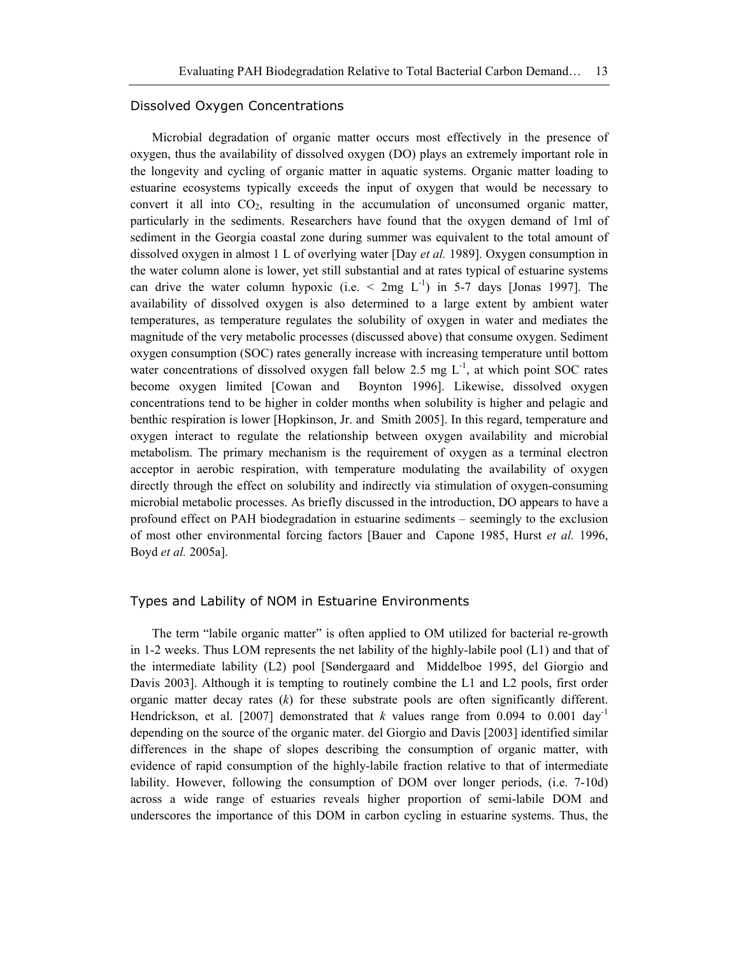#### Dissolved Oxygen Concentrations

Microbial degradation of organic matter occurs most effectively in the presence of oxygen, thus the availability of dissolved oxygen (DO) plays an extremely important role in the longevity and cycling of organic matter in aquatic systems. Organic matter loading to estuarine ecosystems typically exceeds the input of oxygen that would be necessary to convert it all into  $CO<sub>2</sub>$ , resulting in the accumulation of unconsumed organic matter, particularly in the sediments. Researchers have found that the oxygen demand of 1ml of sediment in the Georgia coastal zone during summer was equivalent to the total amount of dissolved oxygen in almost 1 L of overlying water [Day *et al.* 1989]. Oxygen consumption in the water column alone is lower, yet still substantial and at rates typical of estuarine systems can drive the water column hypoxic (i.e.  $\leq$  2mg L<sup>-1</sup>) in 5-7 days [Jonas 1997]. The availability of dissolved oxygen is also determined to a large extent by ambient water temperatures, as temperature regulates the solubility of oxygen in water and mediates the magnitude of the very metabolic processes (discussed above) that consume oxygen. Sediment oxygen consumption (SOC) rates generally increase with increasing temperature until bottom water concentrations of dissolved oxygen fall below 2.5 mg  $L^{-1}$ , at which point SOC rates become oxygen limited [Cowan and Boynton 1996]. Likewise, dissolved oxygen concentrations tend to be higher in colder months when solubility is higher and pelagic and benthic respiration is lower [Hopkinson, Jr. and Smith 2005]. In this regard, temperature and oxygen interact to regulate the relationship between oxygen availability and microbial metabolism. The primary mechanism is the requirement of oxygen as a terminal electron acceptor in aerobic respiration, with temperature modulating the availability of oxygen directly through the effect on solubility and indirectly via stimulation of oxygen-consuming microbial metabolic processes. As briefly discussed in the introduction, DO appears to have a profound effect on PAH biodegradation in estuarine sediments – seemingly to the exclusion of most other environmental forcing factors [Bauer and Capone 1985, Hurst *et al.* 1996, Boyd *et al.* 2005a].

#### Types and Lability of NOM in Estuarine Environments

The term "labile organic matter" is often applied to OM utilized for bacterial re-growth in 1-2 weeks. Thus LOM represents the net lability of the highly-labile pool (L1) and that of the intermediate lability (L2) pool [Søndergaard and Middelboe 1995, del Giorgio and Davis 2003]. Although it is tempting to routinely combine the L1 and L2 pools, first order organic matter decay rates (*k*) for these substrate pools are often significantly different. Hendrickson, et al. [2007] demonstrated that *k* values range from 0.094 to 0.001 day<sup>-1</sup> depending on the source of the organic mater. del Giorgio and Davis [2003] identified similar differences in the shape of slopes describing the consumption of organic matter, with evidence of rapid consumption of the highly-labile fraction relative to that of intermediate lability. However, following the consumption of DOM over longer periods, (i.e. 7-10d) across a wide range of estuaries reveals higher proportion of semi-labile DOM and underscores the importance of this DOM in carbon cycling in estuarine systems. Thus, the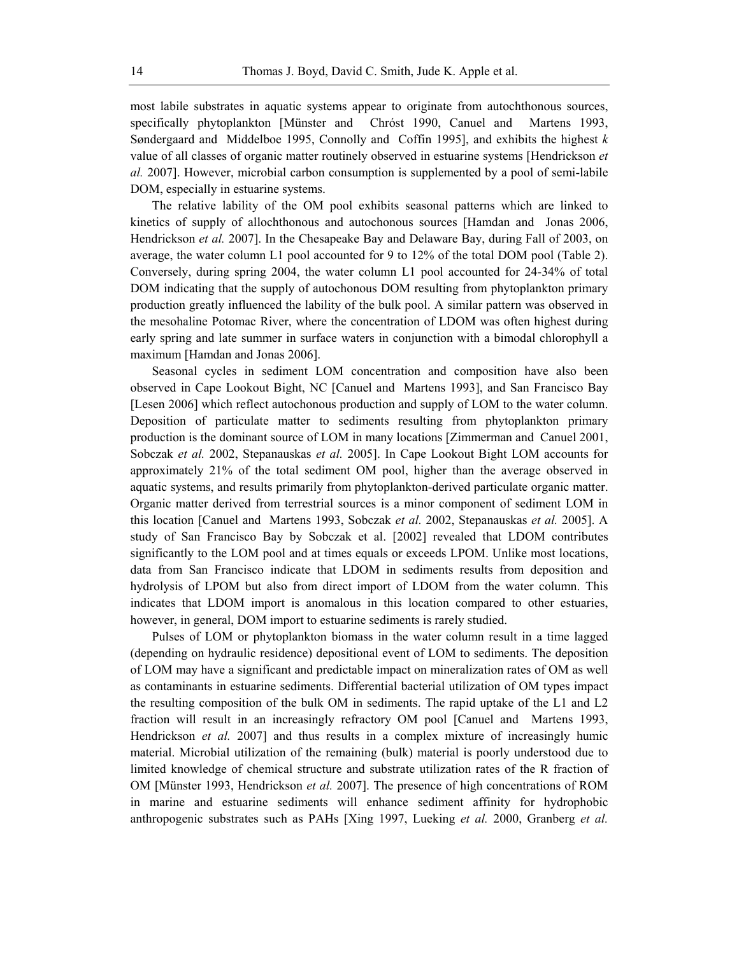most labile substrates in aquatic systems appear to originate from autochthonous sources, specifically phytoplankton [Münster and Chróst 1990, Canuel and Martens 1993, Søndergaard and Middelboe 1995, Connolly and Coffin 1995], and exhibits the highest *k* value of all classes of organic matter routinely observed in estuarine systems [Hendrickson *et al.* 2007]. However, microbial carbon consumption is supplemented by a pool of semi-labile DOM, especially in estuarine systems.

The relative lability of the OM pool exhibits seasonal patterns which are linked to kinetics of supply of allochthonous and autochonous sources [Hamdan and Jonas 2006, Hendrickson *et al.* 2007]. In the Chesapeake Bay and Delaware Bay, during Fall of 2003, on average, the water column L1 pool accounted for 9 to 12% of the total DOM pool (Table 2). Conversely, during spring 2004, the water column L1 pool accounted for 24-34% of total DOM indicating that the supply of autochonous DOM resulting from phytoplankton primary production greatly influenced the lability of the bulk pool. A similar pattern was observed in the mesohaline Potomac River, where the concentration of LDOM was often highest during early spring and late summer in surface waters in conjunction with a bimodal chlorophyll a maximum [Hamdan and Jonas 2006].

Seasonal cycles in sediment LOM concentration and composition have also been observed in Cape Lookout Bight, NC [Canuel and Martens 1993], and San Francisco Bay [Lesen 2006] which reflect autochonous production and supply of LOM to the water column. Deposition of particulate matter to sediments resulting from phytoplankton primary production is the dominant source of LOM in many locations [Zimmerman and Canuel 2001, Sobczak *et al.* 2002, Stepanauskas *et al.* 2005]. In Cape Lookout Bight LOM accounts for approximately 21% of the total sediment OM pool, higher than the average observed in aquatic systems, and results primarily from phytoplankton-derived particulate organic matter. Organic matter derived from terrestrial sources is a minor component of sediment LOM in this location [Canuel and Martens 1993, Sobczak *et al.* 2002, Stepanauskas *et al.* 2005]. A study of San Francisco Bay by Sobczak et al. [2002] revealed that LDOM contributes significantly to the LOM pool and at times equals or exceeds LPOM. Unlike most locations, data from San Francisco indicate that LDOM in sediments results from deposition and hydrolysis of LPOM but also from direct import of LDOM from the water column. This indicates that LDOM import is anomalous in this location compared to other estuaries, however, in general, DOM import to estuarine sediments is rarely studied.

Pulses of LOM or phytoplankton biomass in the water column result in a time lagged (depending on hydraulic residence) depositional event of LOM to sediments. The deposition of LOM may have a significant and predictable impact on mineralization rates of OM as well as contaminants in estuarine sediments. Differential bacterial utilization of OM types impact the resulting composition of the bulk OM in sediments. The rapid uptake of the L1 and L2 fraction will result in an increasingly refractory OM pool [Canuel and Martens 1993, Hendrickson *et al.* 2007] and thus results in a complex mixture of increasingly humic material. Microbial utilization of the remaining (bulk) material is poorly understood due to limited knowledge of chemical structure and substrate utilization rates of the R fraction of OM [Münster 1993, Hendrickson *et al.* 2007]. The presence of high concentrations of ROM in marine and estuarine sediments will enhance sediment affinity for hydrophobic anthropogenic substrates such as PAHs [Xing 1997, Lueking *et al.* 2000, Granberg *et al.*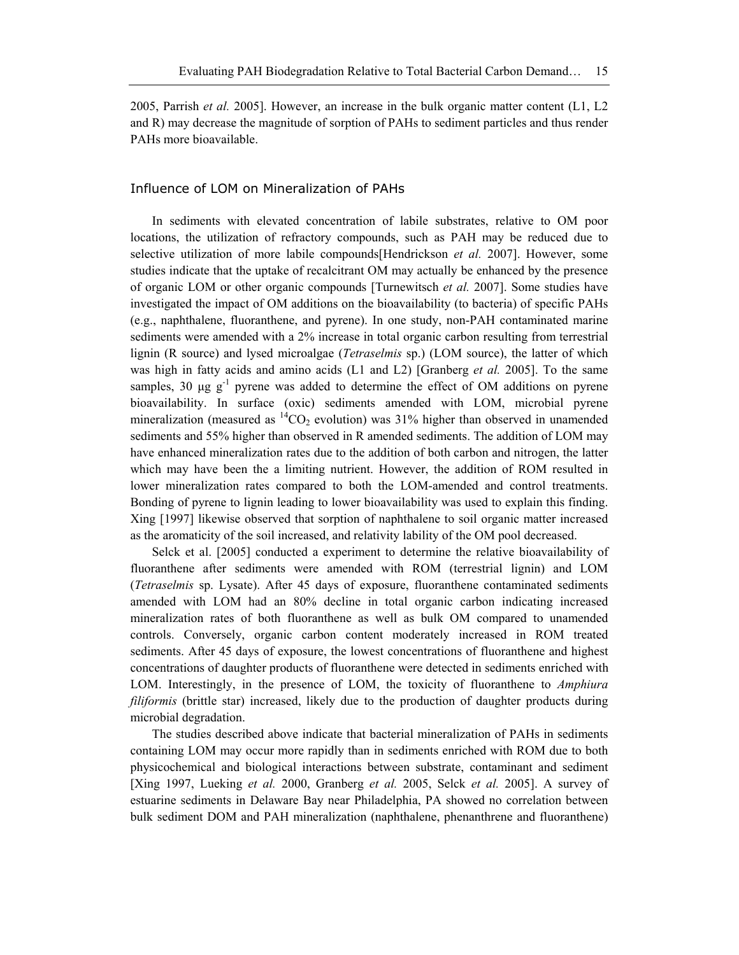2005, Parrish *et al.* 2005]. However, an increase in the bulk organic matter content (L1, L2 and R) may decrease the magnitude of sorption of PAHs to sediment particles and thus render PAHs more bioavailable.

#### Influence of LOM on Mineralization of PAHs

In sediments with elevated concentration of labile substrates, relative to OM poor locations, the utilization of refractory compounds, such as PAH may be reduced due to selective utilization of more labile compounds[Hendrickson *et al.* 2007]. However, some studies indicate that the uptake of recalcitrant OM may actually be enhanced by the presence of organic LOM or other organic compounds [Turnewitsch *et al.* 2007]. Some studies have investigated the impact of OM additions on the bioavailability (to bacteria) of specific PAHs (e.g., naphthalene, fluoranthene, and pyrene). In one study, non-PAH contaminated marine sediments were amended with a 2% increase in total organic carbon resulting from terrestrial lignin (R source) and lysed microalgae (*Tetraselmis* sp.) (LOM source), the latter of which was high in fatty acids and amino acids (L1 and L2) [Granberg *et al.* 2005]. To the same samples, 30  $\mu$ g g<sup>-1</sup> pyrene was added to determine the effect of OM additions on pyrene bioavailability. In surface (oxic) sediments amended with LOM, microbial pyrene mineralization (measured as  ${}^{14}CO_2$  evolution) was 31% higher than observed in unamended sediments and 55% higher than observed in R amended sediments. The addition of LOM may have enhanced mineralization rates due to the addition of both carbon and nitrogen, the latter which may have been the a limiting nutrient. However, the addition of ROM resulted in lower mineralization rates compared to both the LOM-amended and control treatments. Bonding of pyrene to lignin leading to lower bioavailability was used to explain this finding. Xing [1997] likewise observed that sorption of naphthalene to soil organic matter increased as the aromaticity of the soil increased, and relativity lability of the OM pool decreased.

Selck et al. [2005] conducted a experiment to determine the relative bioavailability of fluoranthene after sediments were amended with ROM (terrestrial lignin) and LOM (*Tetraselmis* sp. Lysate). After 45 days of exposure, fluoranthene contaminated sediments amended with LOM had an 80% decline in total organic carbon indicating increased mineralization rates of both fluoranthene as well as bulk OM compared to unamended controls. Conversely, organic carbon content moderately increased in ROM treated sediments. After 45 days of exposure, the lowest concentrations of fluoranthene and highest concentrations of daughter products of fluoranthene were detected in sediments enriched with LOM. Interestingly, in the presence of LOM, the toxicity of fluoranthene to *Amphiura filiformis* (brittle star) increased, likely due to the production of daughter products during microbial degradation.

The studies described above indicate that bacterial mineralization of PAHs in sediments containing LOM may occur more rapidly than in sediments enriched with ROM due to both physicochemical and biological interactions between substrate, contaminant and sediment [Xing 1997, Lueking *et al.* 2000, Granberg *et al.* 2005, Selck *et al.* 2005]. A survey of estuarine sediments in Delaware Bay near Philadelphia, PA showed no correlation between bulk sediment DOM and PAH mineralization (naphthalene, phenanthrene and fluoranthene)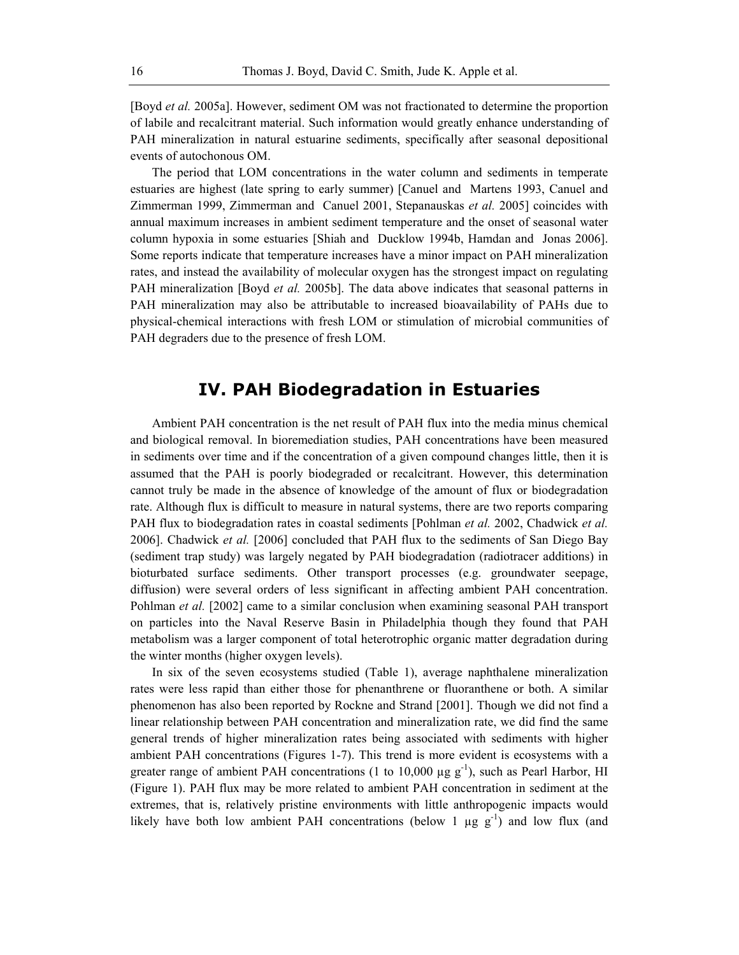[Boyd *et al.* 2005a]. However, sediment OM was not fractionated to determine the proportion of labile and recalcitrant material. Such information would greatly enhance understanding of PAH mineralization in natural estuarine sediments, specifically after seasonal depositional events of autochonous OM.

The period that LOM concentrations in the water column and sediments in temperate estuaries are highest (late spring to early summer) [Canuel and Martens 1993, Canuel and Zimmerman 1999, Zimmerman and Canuel 2001, Stepanauskas *et al.* 2005] coincides with annual maximum increases in ambient sediment temperature and the onset of seasonal water column hypoxia in some estuaries [Shiah and Ducklow 1994b, Hamdan and Jonas 2006]. Some reports indicate that temperature increases have a minor impact on PAH mineralization rates, and instead the availability of molecular oxygen has the strongest impact on regulating PAH mineralization [Boyd *et al.* 2005b]. The data above indicates that seasonal patterns in PAH mineralization may also be attributable to increased bioavailability of PAHs due to physical-chemical interactions with fresh LOM or stimulation of microbial communities of PAH degraders due to the presence of fresh LOM.

# **IV. PAH Biodegradation in Estuaries**

Ambient PAH concentration is the net result of PAH flux into the media minus chemical and biological removal. In bioremediation studies, PAH concentrations have been measured in sediments over time and if the concentration of a given compound changes little, then it is assumed that the PAH is poorly biodegraded or recalcitrant. However, this determination cannot truly be made in the absence of knowledge of the amount of flux or biodegradation rate. Although flux is difficult to measure in natural systems, there are two reports comparing PAH flux to biodegradation rates in coastal sediments [Pohlman *et al.* 2002, Chadwick *et al.* 2006]. Chadwick *et al.* [2006] concluded that PAH flux to the sediments of San Diego Bay (sediment trap study) was largely negated by PAH biodegradation (radiotracer additions) in bioturbated surface sediments. Other transport processes (e.g. groundwater seepage, diffusion) were several orders of less significant in affecting ambient PAH concentration. Pohlman *et al.* [2002] came to a similar conclusion when examining seasonal PAH transport on particles into the Naval Reserve Basin in Philadelphia though they found that PAH metabolism was a larger component of total heterotrophic organic matter degradation during the winter months (higher oxygen levels).

In six of the seven ecosystems studied (Table 1), average naphthalene mineralization rates were less rapid than either those for phenanthrene or fluoranthene or both. A similar phenomenon has also been reported by Rockne and Strand [2001]. Though we did not find a linear relationship between PAH concentration and mineralization rate, we did find the same general trends of higher mineralization rates being associated with sediments with higher ambient PAH concentrations (Figures 1-7). This trend is more evident is ecosystems with a greater range of ambient PAH concentrations (1 to 10,000  $\mu$ g g<sup>-1</sup>), such as Pearl Harbor, HI (Figure 1). PAH flux may be more related to ambient PAH concentration in sediment at the extremes, that is, relatively pristine environments with little anthropogenic impacts would likely have both low ambient PAH concentrations (below 1  $\mu$ g g<sup>-1</sup>) and low flux (and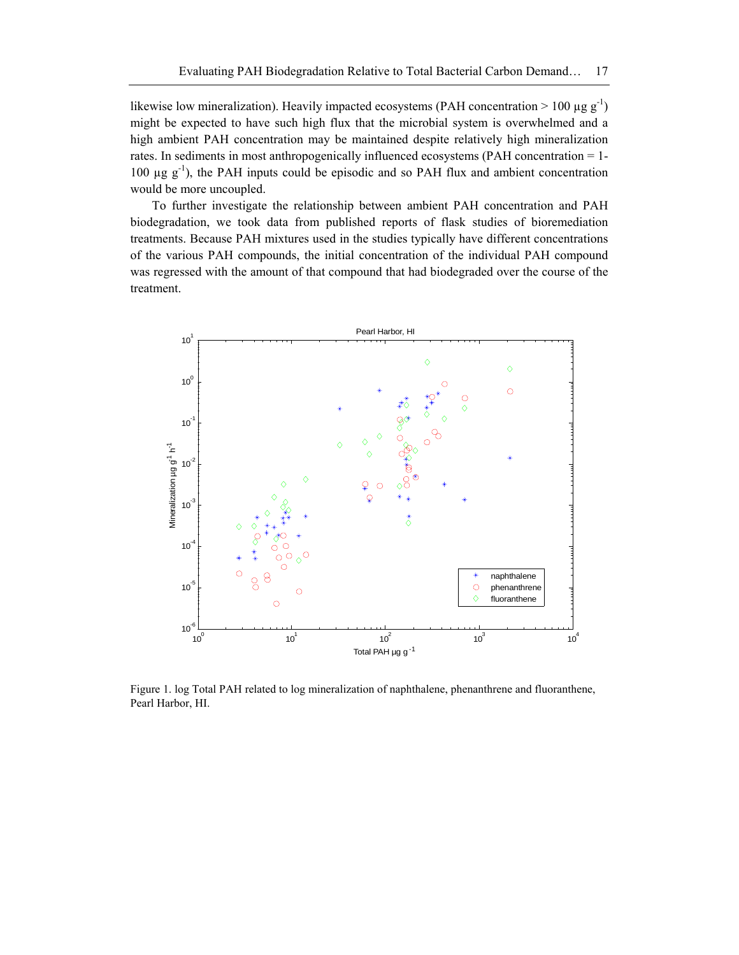likewise low mineralization). Heavily impacted ecosystems (PAH concentration  $> 100 \mu g g^{-1}$ ) might be expected to have such high flux that the microbial system is overwhelmed and a high ambient PAH concentration may be maintained despite relatively high mineralization rates. In sediments in most anthropogenically influenced ecosystems (PAH concentration = 1- 100  $\mu$ g g<sup>-1</sup>), the PAH inputs could be episodic and so PAH flux and ambient concentration would be more uncoupled.

To further investigate the relationship between ambient PAH concentration and PAH biodegradation, we took data from published reports of flask studies of bioremediation treatments. Because PAH mixtures used in the studies typically have different concentrations of the various PAH compounds, the initial concentration of the individual PAH compound was regressed with the amount of that compound that had biodegraded over the course of the treatment.



Figure 1. log Total PAH related to log mineralization of naphthalene, phenanthrene and fluoranthene, Pearl Harbor, HI.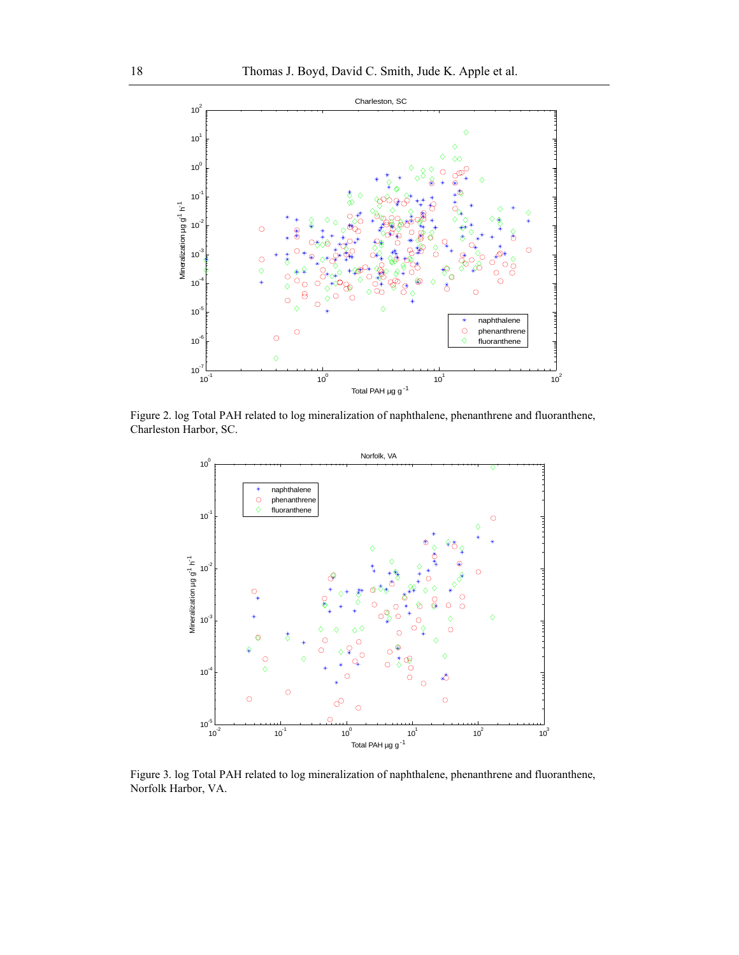

Figure 2. log Total PAH related to log mineralization of naphthalene, phenanthrene and fluoranthene, Charleston Harbor, SC.



Figure 3. log Total PAH related to log mineralization of naphthalene, phenanthrene and fluoranthene, Norfolk Harbor, VA.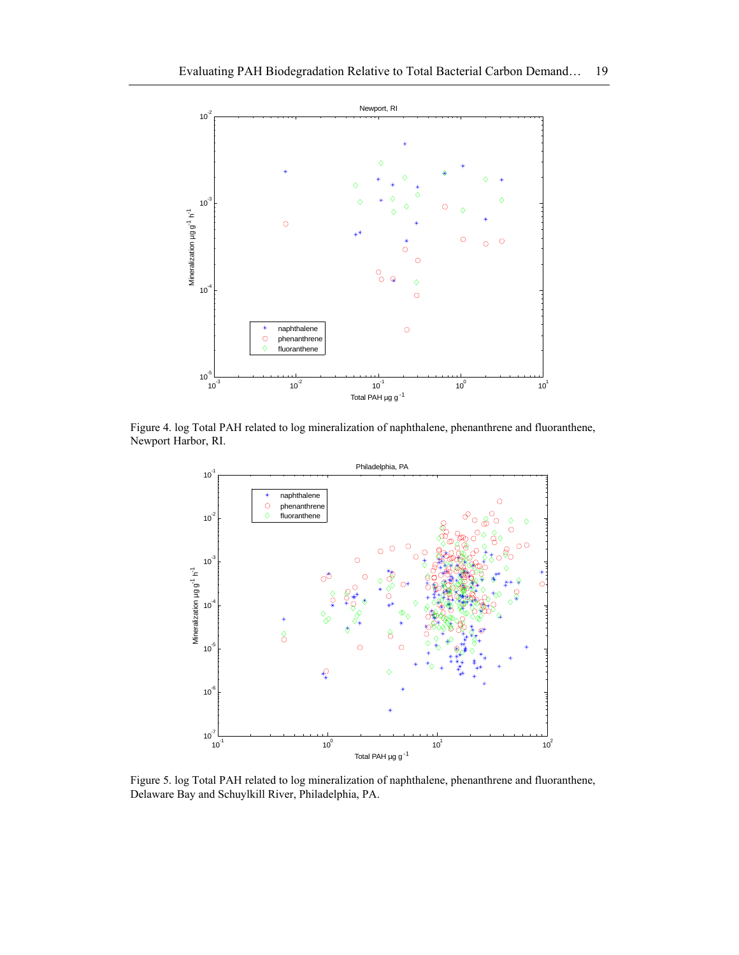

Figure 4. log Total PAH related to log mineralization of naphthalene, phenanthrene and fluoranthene, Newport Harbor, RI.



Figure 5. log Total PAH related to log mineralization of naphthalene, phenanthrene and fluoranthene, Delaware Bay and Schuylkill River, Philadelphia, PA.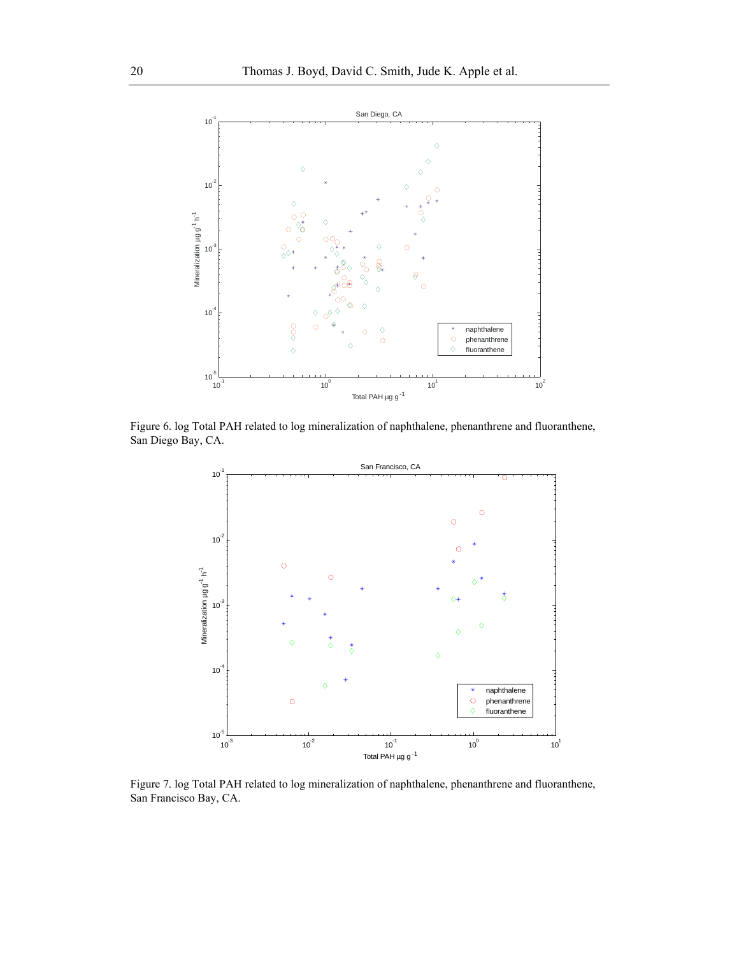

Figure 6. log Total PAH related to log mineralization of naphthalene, phenanthrene and fluoranthene, San Diego Bay, CA.



Figure 7. log Total PAH related to log mineralization of naphthalene, phenanthrene and fluoranthene, San Francisco Bay, CA.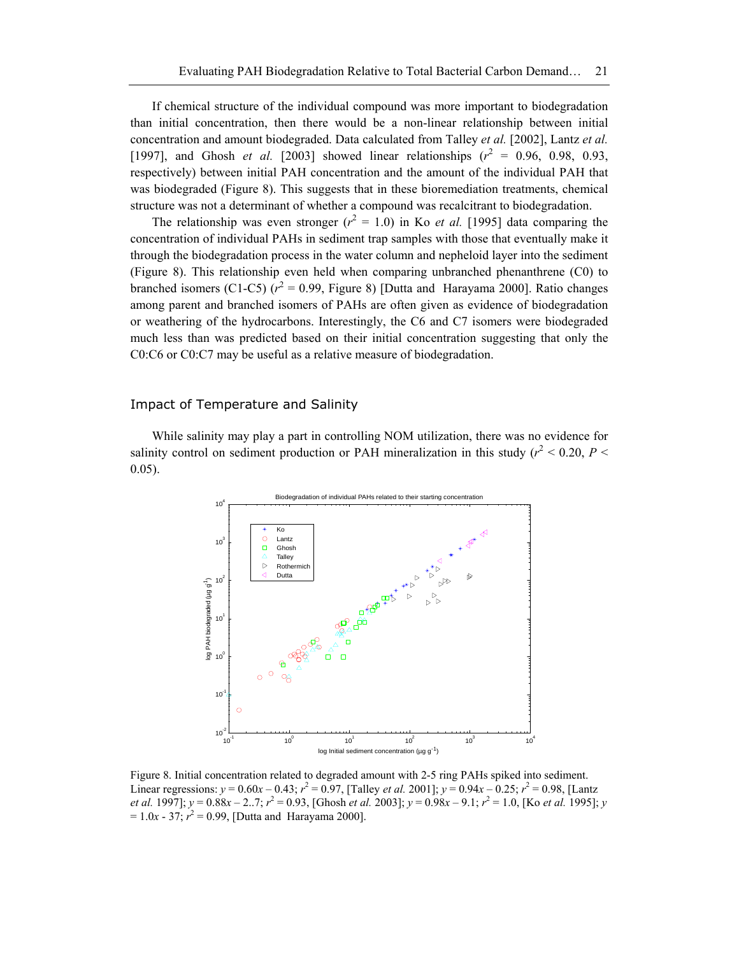If chemical structure of the individual compound was more important to biodegradation than initial concentration, then there would be a non-linear relationship between initial concentration and amount biodegraded. Data calculated from Talley *et al.* [2002], Lantz *et al.* [1997], and Ghosh *et al.* [2003] showed linear relationships  $(r^2 = 0.96, 0.98, 0.93, ...)$ respectively) between initial PAH concentration and the amount of the individual PAH that was biodegraded (Figure 8). This suggests that in these bioremediation treatments, chemical structure was not a determinant of whether a compound was recalcitrant to biodegradation.

The relationship was even stronger ( $r^2 = 1.0$ ) in Ko *et al.* [1995] data comparing the concentration of individual PAHs in sediment trap samples with those that eventually make it through the biodegradation process in the water column and nepheloid layer into the sediment (Figure 8). This relationship even held when comparing unbranched phenanthrene (C0) to branched isomers (C1-C5)  $(r^2 = 0.99, \text{ Figure 8})$  [Dutta and Harayama 2000]. Ratio changes among parent and branched isomers of PAHs are often given as evidence of biodegradation or weathering of the hydrocarbons. Interestingly, the C6 and C7 isomers were biodegraded much less than was predicted based on their initial concentration suggesting that only the C0:C6 or C0:C7 may be useful as a relative measure of biodegradation.

#### Impact of Temperature and Salinity

While salinity may play a part in controlling NOM utilization, there was no evidence for salinity control on sediment production or PAH mineralization in this study ( $r^2$  < 0.20, *P* < 0.05).



Figure 8. Initial concentration related to degraded amount with 2-5 ring PAHs spiked into sediment. Linear regressions:  $y = 0.60x - 0.43$ ;  $r^2 = 0.97$ , [Talley *et al.* 2001];  $y = 0.94x - 0.25$ ;  $r^2 = 0.98$ , [Lantz *et al.* 1997];  $y = 0.88x - 2.7$ ;  $r^2 = 0.93$ , [Ghosh *et al.* 2003];  $y = 0.98x - 9.1$ ;  $r^2 = 1.0$ , [Ko *et al.* 1995]; *y*  $= 1.0x - 37$ ;  $r^2 = 0.99$ , [Dutta and Harayama 2000].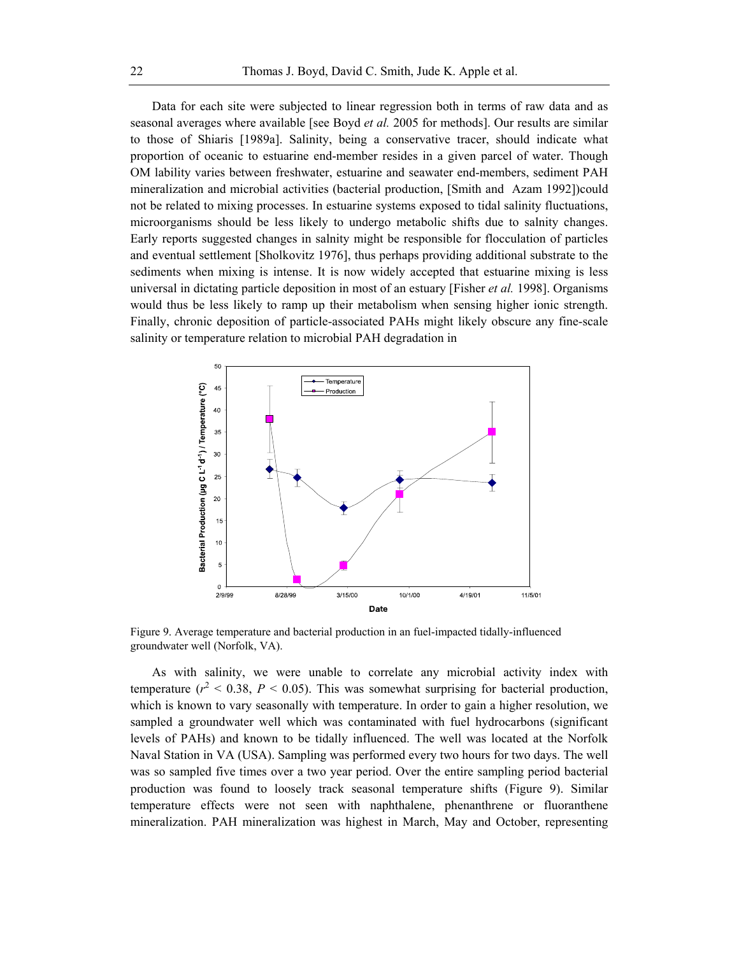Data for each site were subjected to linear regression both in terms of raw data and as seasonal averages where available [see Boyd *et al.* 2005 for methods]. Our results are similar to those of Shiaris [1989a]. Salinity, being a conservative tracer, should indicate what proportion of oceanic to estuarine end-member resides in a given parcel of water. Though OM lability varies between freshwater, estuarine and seawater end-members, sediment PAH mineralization and microbial activities (bacterial production, [Smith and Azam 1992])could not be related to mixing processes. In estuarine systems exposed to tidal salinity fluctuations, microorganisms should be less likely to undergo metabolic shifts due to salnity changes. Early reports suggested changes in salnity might be responsible for flocculation of particles and eventual settlement [Sholkovitz 1976], thus perhaps providing additional substrate to the sediments when mixing is intense. It is now widely accepted that estuarine mixing is less universal in dictating particle deposition in most of an estuary [Fisher *et al.* 1998]. Organisms would thus be less likely to ramp up their metabolism when sensing higher ionic strength. Finally, chronic deposition of particle-associated PAHs might likely obscure any fine-scale salinity or temperature relation to microbial PAH degradation in



Figure 9. Average temperature and bacterial production in an fuel-impacted tidally-influenced groundwater well (Norfolk, VA).

As with salinity, we were unable to correlate any microbial activity index with temperature  $(r^2 < 0.38, P < 0.05)$ . This was somewhat surprising for bacterial production, which is known to vary seasonally with temperature. In order to gain a higher resolution, we sampled a groundwater well which was contaminated with fuel hydrocarbons (significant levels of PAHs) and known to be tidally influenced. The well was located at the Norfolk Naval Station in VA (USA). Sampling was performed every two hours for two days. The well was so sampled five times over a two year period. Over the entire sampling period bacterial production was found to loosely track seasonal temperature shifts (Figure 9). Similar temperature effects were not seen with naphthalene, phenanthrene or fluoranthene mineralization. PAH mineralization was highest in March, May and October, representing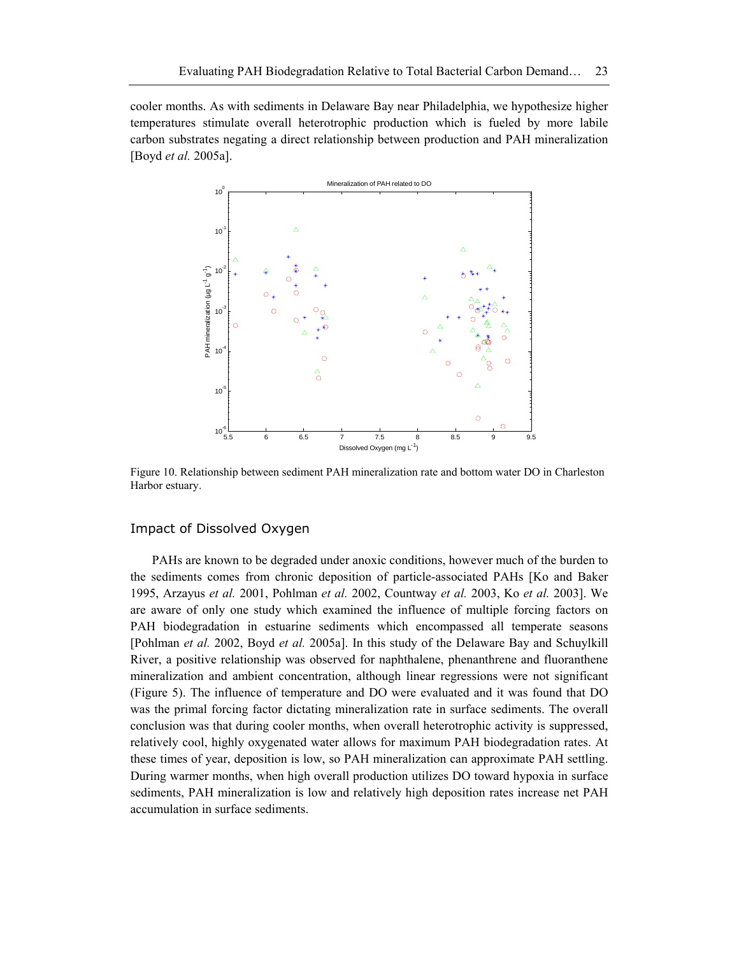cooler months. As with sediments in Delaware Bay near Philadelphia, we hypothesize higher temperatures stimulate overall heterotrophic production which is fueled by more labile carbon substrates negating a direct relationship between production and PAH mineralization [Boyd *et al.* 2005a].



Figure 10. Relationship between sediment PAH mineralization rate and bottom water DO in Charleston Harbor estuary.

#### Impact of Dissolved Oxygen

PAHs are known to be degraded under anoxic conditions, however much of the burden to the sediments comes from chronic deposition of particle-associated PAHs [Ko and Baker 1995, Arzayus *et al.* 2001, Pohlman *et al.* 2002, Countway *et al.* 2003, Ko *et al.* 2003]. We are aware of only one study which examined the influence of multiple forcing factors on PAH biodegradation in estuarine sediments which encompassed all temperate seasons [Pohlman *et al.* 2002, Boyd *et al.* 2005a]. In this study of the Delaware Bay and Schuylkill River, a positive relationship was observed for naphthalene, phenanthrene and fluoranthene mineralization and ambient concentration, although linear regressions were not significant (Figure 5). The influence of temperature and DO were evaluated and it was found that DO was the primal forcing factor dictating mineralization rate in surface sediments. The overall conclusion was that during cooler months, when overall heterotrophic activity is suppressed, relatively cool, highly oxygenated water allows for maximum PAH biodegradation rates. At these times of year, deposition is low, so PAH mineralization can approximate PAH settling. During warmer months, when high overall production utilizes DO toward hypoxia in surface sediments, PAH mineralization is low and relatively high deposition rates increase net PAH accumulation in surface sediments.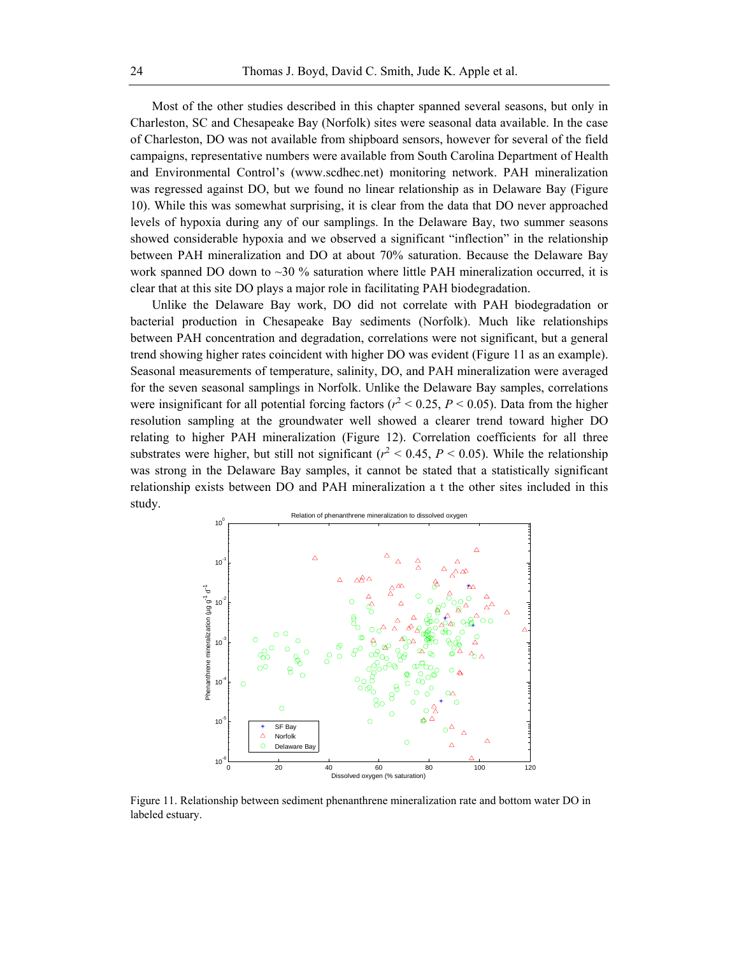Most of the other studies described in this chapter spanned several seasons, but only in Charleston, SC and Chesapeake Bay (Norfolk) sites were seasonal data available. In the case of Charleston, DO was not available from shipboard sensors, however for several of the field campaigns, representative numbers were available from South Carolina Department of Health and Environmental Control's (www.scdhec.net) monitoring network. PAH mineralization was regressed against DO, but we found no linear relationship as in Delaware Bay (Figure 10). While this was somewhat surprising, it is clear from the data that DO never approached levels of hypoxia during any of our samplings. In the Delaware Bay, two summer seasons showed considerable hypoxia and we observed a significant "inflection" in the relationship between PAH mineralization and DO at about 70% saturation. Because the Delaware Bay work spanned DO down to  $\sim$ 30 % saturation where little PAH mineralization occurred, it is clear that at this site DO plays a major role in facilitating PAH biodegradation.

Unlike the Delaware Bay work, DO did not correlate with PAH biodegradation or bacterial production in Chesapeake Bay sediments (Norfolk). Much like relationships between PAH concentration and degradation, correlations were not significant, but a general trend showing higher rates coincident with higher DO was evident (Figure 11 as an example). Seasonal measurements of temperature, salinity, DO, and PAH mineralization were averaged for the seven seasonal samplings in Norfolk. Unlike the Delaware Bay samples, correlations were insignificant for all potential forcing factors ( $r^2$  < 0.25,  $P$  < 0.05). Data from the higher resolution sampling at the groundwater well showed a clearer trend toward higher DO relating to higher PAH mineralization (Figure 12). Correlation coefficients for all three substrates were higher, but still not significant ( $r^2$  < 0.45, *P* < 0.05). While the relationship was strong in the Delaware Bay samples, it cannot be stated that a statistically significant relationship exists between DO and PAH mineralization a t the other sites included in this study.



Figure 11. Relationship between sediment phenanthrene mineralization rate and bottom water DO in labeled estuary.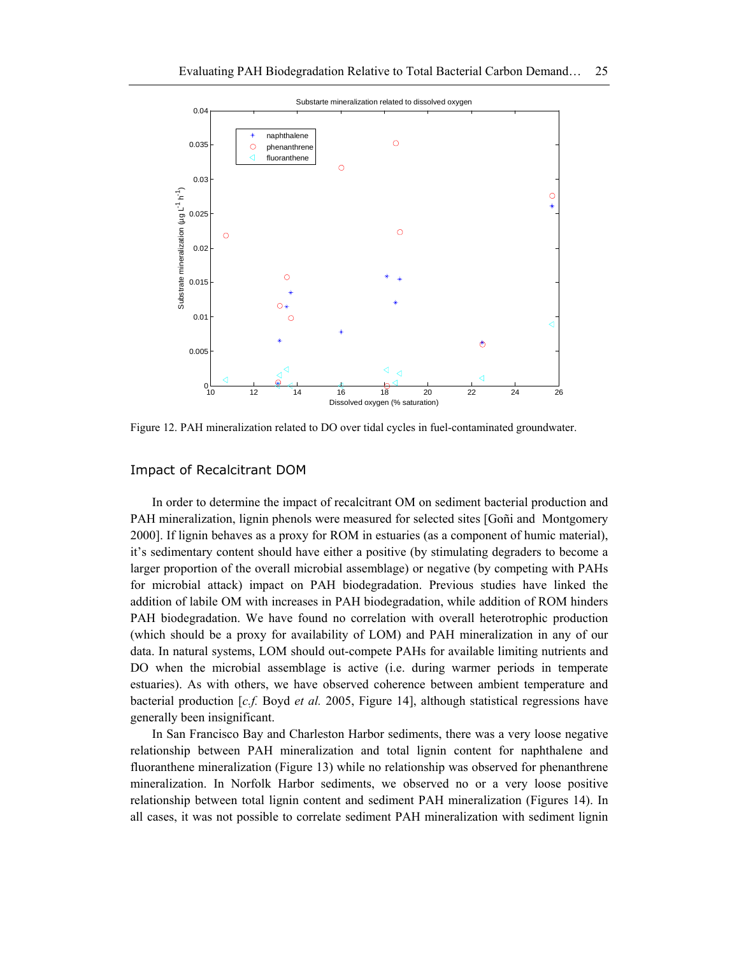

Figure 12. PAH mineralization related to DO over tidal cycles in fuel-contaminated groundwater.

#### Impact of Recalcitrant DOM

In order to determine the impact of recalcitrant OM on sediment bacterial production and PAH mineralization, lignin phenols were measured for selected sites [Goñi and Montgomery 2000]. If lignin behaves as a proxy for ROM in estuaries (as a component of humic material), it's sedimentary content should have either a positive (by stimulating degraders to become a larger proportion of the overall microbial assemblage) or negative (by competing with PAHs for microbial attack) impact on PAH biodegradation. Previous studies have linked the addition of labile OM with increases in PAH biodegradation, while addition of ROM hinders PAH biodegradation. We have found no correlation with overall heterotrophic production (which should be a proxy for availability of LOM) and PAH mineralization in any of our data. In natural systems, LOM should out-compete PAHs for available limiting nutrients and DO when the microbial assemblage is active (i.e. during warmer periods in temperate estuaries). As with others, we have observed coherence between ambient temperature and bacterial production [*c.f.* Boyd *et al.* 2005, Figure 14], although statistical regressions have generally been insignificant.

In San Francisco Bay and Charleston Harbor sediments, there was a very loose negative relationship between PAH mineralization and total lignin content for naphthalene and fluoranthene mineralization (Figure 13) while no relationship was observed for phenanthrene mineralization. In Norfolk Harbor sediments, we observed no or a very loose positive relationship between total lignin content and sediment PAH mineralization (Figures 14). In all cases, it was not possible to correlate sediment PAH mineralization with sediment lignin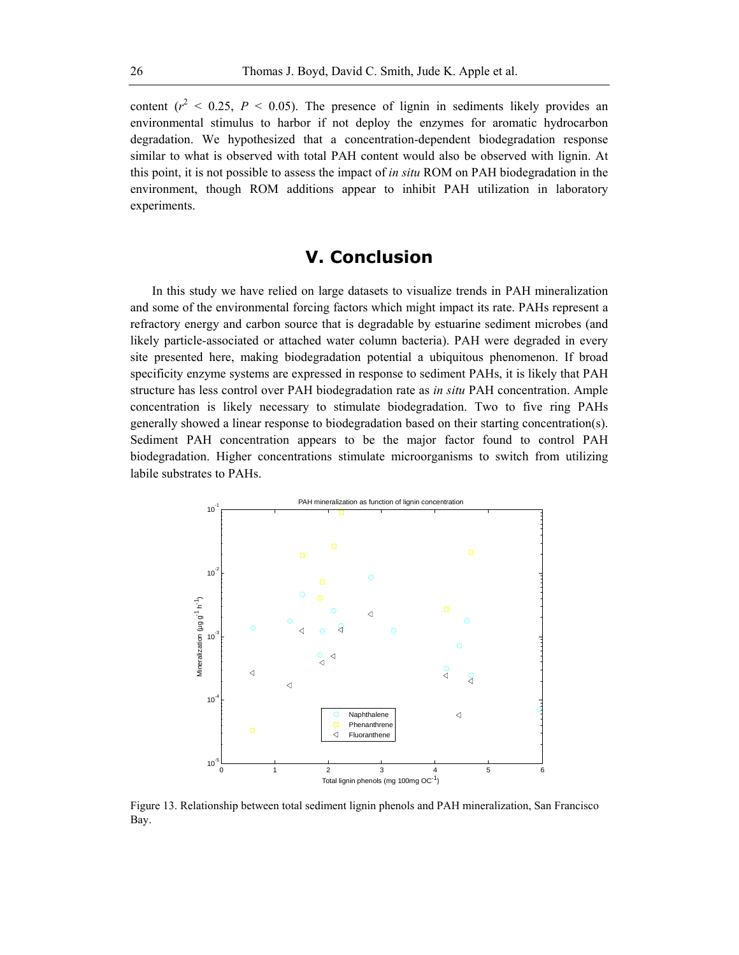content  $(r^2 < 0.25, P < 0.05)$ . The presence of lignin in sediments likely provides an environmental stimulus to harbor if not deploy the enzymes for aromatic hydrocarbon degradation. We hypothesized that a concentration-dependent biodegradation response similar to what is observed with total PAH content would also be observed with lignin. At this point, it is not possible to assess the impact of *in situ* ROM on PAH biodegradation in the environment, though ROM additions appear to inhibit PAH utilization in laboratory experiments.

# **V. Conclusion**

In this study we have relied on large datasets to visualize trends in PAH mineralization and some of the environmental forcing factors which might impact its rate. PAHs represent a refractory energy and carbon source that is degradable by estuarine sediment microbes (and likely particle-associated or attached water column bacteria). PAH were degraded in every site presented here, making biodegradation potential a ubiquitous phenomenon. If broad specificity enzyme systems are expressed in response to sediment PAHs, it is likely that PAH structure has less control over PAH biodegradation rate as *in situ* PAH concentration. Ample concentration is likely necessary to stimulate biodegradation. Two to five ring PAHs generally showed a linear response to biodegradation based on their starting concentration(s). Sediment PAH concentration appears to be the major factor found to control PAH biodegradation. Higher concentrations stimulate microorganisms to switch from utilizing labile substrates to PAHs.



Figure 13. Relationship between total sediment lignin phenols and PAH mineralization, San Francisco Bay.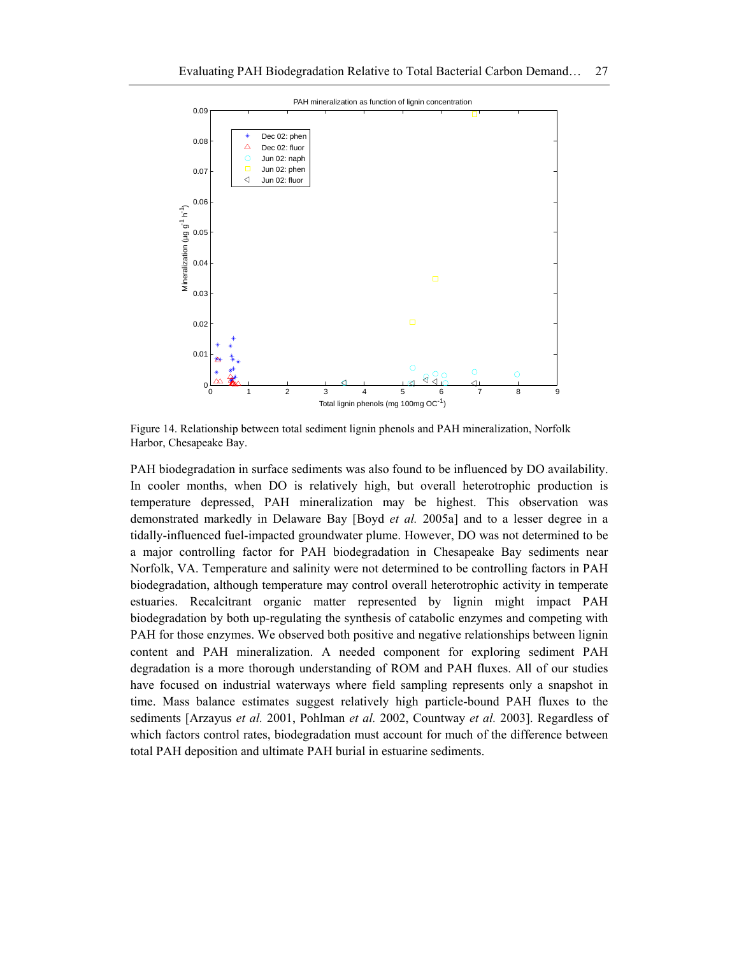

Figure 14. Relationship between total sediment lignin phenols and PAH mineralization, Norfolk Harbor, Chesapeake Bay.

PAH biodegradation in surface sediments was also found to be influenced by DO availability. In cooler months, when DO is relatively high, but overall heterotrophic production is temperature depressed, PAH mineralization may be highest. This observation was demonstrated markedly in Delaware Bay [Boyd *et al.* 2005a] and to a lesser degree in a tidally-influenced fuel-impacted groundwater plume. However, DO was not determined to be a major controlling factor for PAH biodegradation in Chesapeake Bay sediments near Norfolk, VA. Temperature and salinity were not determined to be controlling factors in PAH biodegradation, although temperature may control overall heterotrophic activity in temperate estuaries. Recalcitrant organic matter represented by lignin might impact PAH biodegradation by both up-regulating the synthesis of catabolic enzymes and competing with PAH for those enzymes. We observed both positive and negative relationships between lignin content and PAH mineralization. A needed component for exploring sediment PAH degradation is a more thorough understanding of ROM and PAH fluxes. All of our studies have focused on industrial waterways where field sampling represents only a snapshot in time. Mass balance estimates suggest relatively high particle-bound PAH fluxes to the sediments [Arzayus *et al.* 2001, Pohlman *et al.* 2002, Countway *et al.* 2003]. Regardless of which factors control rates, biodegradation must account for much of the difference between total PAH deposition and ultimate PAH burial in estuarine sediments.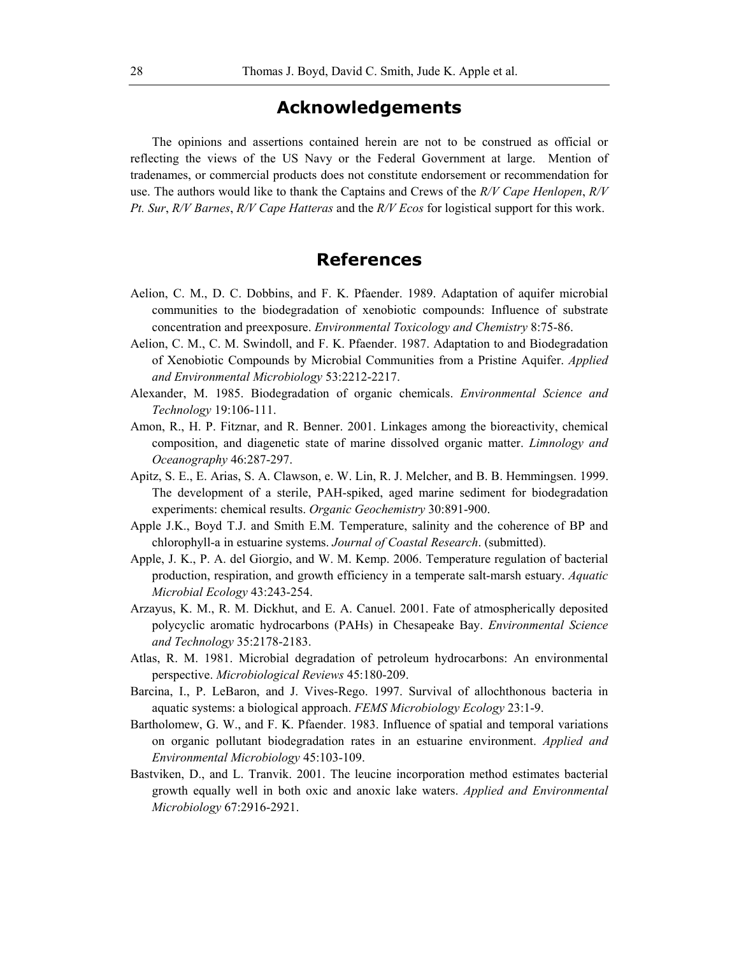# **Acknowledgements**

The opinions and assertions contained herein are not to be construed as official or reflecting the views of the US Navy or the Federal Government at large. Mention of tradenames, or commercial products does not constitute endorsement or recommendation for use. The authors would like to thank the Captains and Crews of the *R/V Cape Henlopen*, *R/V Pt. Sur*, *R/V Barnes*, *R/V Cape Hatteras* and the *R/V Ecos* for logistical support for this work.

## **References**

- Aelion, C. M., D. C. Dobbins, and F. K. Pfaender. 1989. Adaptation of aquifer microbial communities to the biodegradation of xenobiotic compounds: Influence of substrate concentration and preexposure. *Environmental Toxicology and Chemistry* 8:75-86.
- Aelion, C. M., C. M. Swindoll, and F. K. Pfaender. 1987. Adaptation to and Biodegradation of Xenobiotic Compounds by Microbial Communities from a Pristine Aquifer. *Applied and Environmental Microbiology* 53:2212-2217.
- Alexander, M. 1985. Biodegradation of organic chemicals. *Environmental Science and Technology* 19:106-111.
- Amon, R., H. P. Fitznar, and R. Benner. 2001. Linkages among the bioreactivity, chemical composition, and diagenetic state of marine dissolved organic matter. *Limnology and Oceanography* 46:287-297.
- Apitz, S. E., E. Arias, S. A. Clawson, e. W. Lin, R. J. Melcher, and B. B. Hemmingsen. 1999. The development of a sterile, PAH-spiked, aged marine sediment for biodegradation experiments: chemical results. *Organic Geochemistry* 30:891-900.
- Apple J.K., Boyd T.J. and Smith E.M. Temperature, salinity and the coherence of BP and chlorophyll-a in estuarine systems. *Journal of Coastal Research*. (submitted).
- Apple, J. K., P. A. del Giorgio, and W. M. Kemp. 2006. Temperature regulation of bacterial production, respiration, and growth efficiency in a temperate salt-marsh estuary. *Aquatic Microbial Ecology* 43:243-254.
- Arzayus, K. M., R. M. Dickhut, and E. A. Canuel. 2001. Fate of atmospherically deposited polycyclic aromatic hydrocarbons (PAHs) in Chesapeake Bay. *Environmental Science and Technology* 35:2178-2183.
- Atlas, R. M. 1981. Microbial degradation of petroleum hydrocarbons: An environmental perspective. *Microbiological Reviews* 45:180-209.
- Barcina, I., P. LeBaron, and J. Vives-Rego. 1997. Survival of allochthonous bacteria in aquatic systems: a biological approach. *FEMS Microbiology Ecology* 23:1-9.
- Bartholomew, G. W., and F. K. Pfaender. 1983. Influence of spatial and temporal variations on organic pollutant biodegradation rates in an estuarine environment. *Applied and Environmental Microbiology* 45:103-109.
- Bastviken, D., and L. Tranvik. 2001. The leucine incorporation method estimates bacterial growth equally well in both oxic and anoxic lake waters. *Applied and Environmental Microbiology* 67:2916-2921.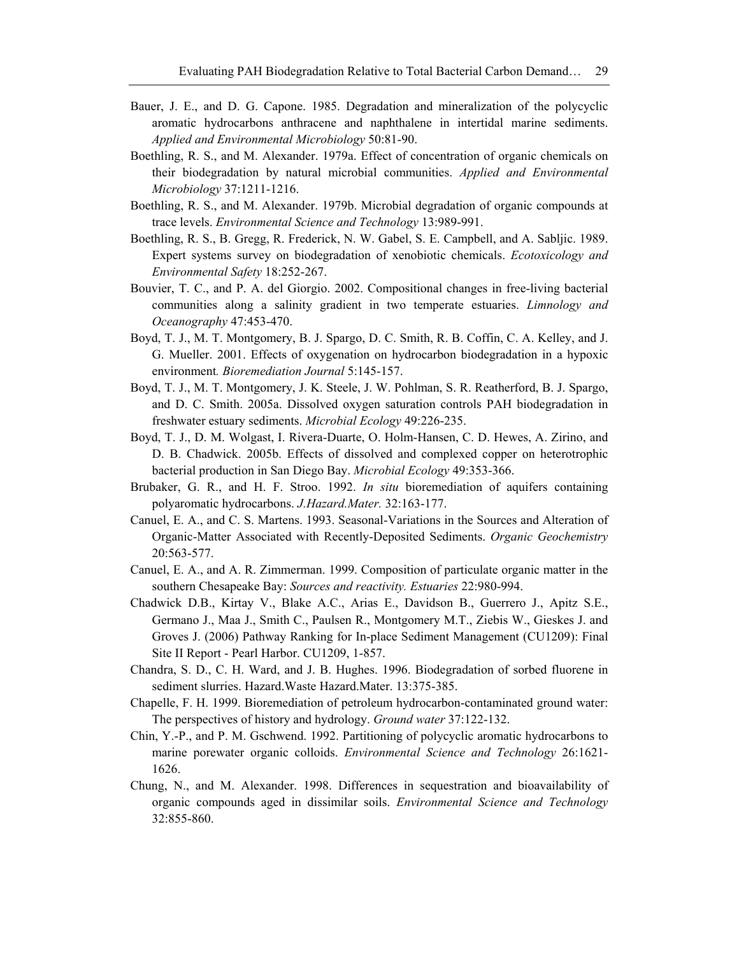- Bauer, J. E., and D. G. Capone. 1985. Degradation and mineralization of the polycyclic aromatic hydrocarbons anthracene and naphthalene in intertidal marine sediments. *Applied and Environmental Microbiology* 50:81-90.
- Boethling, R. S., and M. Alexander. 1979a. Effect of concentration of organic chemicals on their biodegradation by natural microbial communities. *Applied and Environmental Microbiology* 37:1211-1216.
- Boethling, R. S., and M. Alexander. 1979b. Microbial degradation of organic compounds at trace levels. *Environmental Science and Technology* 13:989-991.
- Boethling, R. S., B. Gregg, R. Frederick, N. W. Gabel, S. E. Campbell, and A. Sabljic. 1989. Expert systems survey on biodegradation of xenobiotic chemicals. *Ecotoxicology and Environmental Safety* 18:252-267.
- Bouvier, T. C., and P. A. del Giorgio. 2002. Compositional changes in free-living bacterial communities along a salinity gradient in two temperate estuaries. *Limnology and Oceanography* 47:453-470.
- Boyd, T. J., M. T. Montgomery, B. J. Spargo, D. C. Smith, R. B. Coffin, C. A. Kelley, and J. G. Mueller. 2001. Effects of oxygenation on hydrocarbon biodegradation in a hypoxic environment*. Bioremediation Journal* 5:145-157.
- Boyd, T. J., M. T. Montgomery, J. K. Steele, J. W. Pohlman, S. R. Reatherford, B. J. Spargo, and D. C. Smith. 2005a. Dissolved oxygen saturation controls PAH biodegradation in freshwater estuary sediments. *Microbial Ecology* 49:226-235.
- Boyd, T. J., D. M. Wolgast, I. Rivera-Duarte, O. Holm-Hansen, C. D. Hewes, A. Zirino, and D. B. Chadwick. 2005b. Effects of dissolved and complexed copper on heterotrophic bacterial production in San Diego Bay. *Microbial Ecology* 49:353-366.
- Brubaker, G. R., and H. F. Stroo. 1992. *In situ* bioremediation of aquifers containing polyaromatic hydrocarbons. *J.Hazard.Mater.* 32:163-177.
- Canuel, E. A., and C. S. Martens. 1993. Seasonal-Variations in the Sources and Alteration of Organic-Matter Associated with Recently-Deposited Sediments. *Organic Geochemistry* 20:563-577.
- Canuel, E. A., and A. R. Zimmerman. 1999. Composition of particulate organic matter in the southern Chesapeake Bay: *Sources and reactivity. Estuaries* 22:980-994.
- Chadwick D.B., Kirtay V., Blake A.C., Arias E., Davidson B., Guerrero J., Apitz S.E., Germano J., Maa J., Smith C., Paulsen R., Montgomery M.T., Ziebis W., Gieskes J. and Groves J. (2006) Pathway Ranking for In-place Sediment Management (CU1209): Final Site II Report - Pearl Harbor. CU1209, 1-857.
- Chandra, S. D., C. H. Ward, and J. B. Hughes. 1996. Biodegradation of sorbed fluorene in sediment slurries. Hazard.Waste Hazard.Mater. 13:375-385.
- Chapelle, F. H. 1999. Bioremediation of petroleum hydrocarbon-contaminated ground water: The perspectives of history and hydrology. *Ground water* 37:122-132.
- Chin, Y.-P., and P. M. Gschwend. 1992. Partitioning of polycyclic aromatic hydrocarbons to marine porewater organic colloids. *Environmental Science and Technology* 26:1621- 1626.
- Chung, N., and M. Alexander. 1998. Differences in sequestration and bioavailability of organic compounds aged in dissimilar soils. *Environmental Science and Technology* 32:855-860.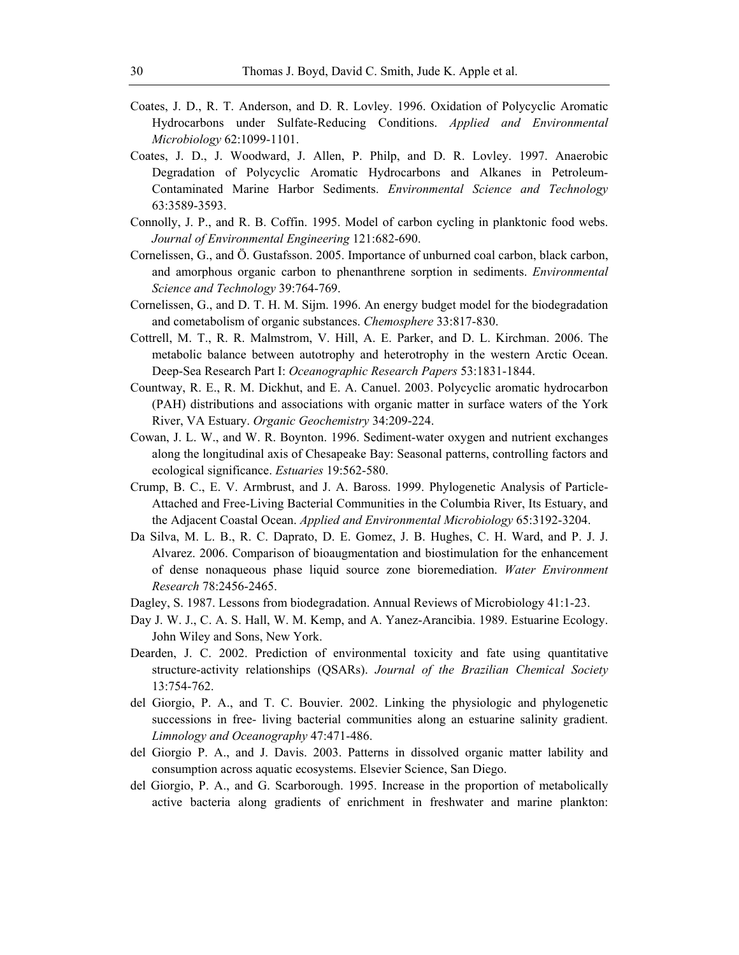- Coates, J. D., R. T. Anderson, and D. R. Lovley. 1996. Oxidation of Polycyclic Aromatic Hydrocarbons under Sulfate-Reducing Conditions. *Applied and Environmental Microbiology* 62:1099-1101.
- Coates, J. D., J. Woodward, J. Allen, P. Philp, and D. R. Lovley. 1997. Anaerobic Degradation of Polycyclic Aromatic Hydrocarbons and Alkanes in Petroleum-Contaminated Marine Harbor Sediments. *Environmental Science and Technology* 63:3589-3593.
- Connolly, J. P., and R. B. Coffin. 1995. Model of carbon cycling in planktonic food webs. *Journal of Environmental Engineering* 121:682-690.
- Cornelissen, G., and Ö. Gustafsson. 2005. Importance of unburned coal carbon, black carbon, and amorphous organic carbon to phenanthrene sorption in sediments. *Environmental Science and Technology* 39:764-769.
- Cornelissen, G., and D. T. H. M. Sijm. 1996. An energy budget model for the biodegradation and cometabolism of organic substances. *Chemosphere* 33:817-830.
- Cottrell, M. T., R. R. Malmstrom, V. Hill, A. E. Parker, and D. L. Kirchman. 2006. The metabolic balance between autotrophy and heterotrophy in the western Arctic Ocean. Deep-Sea Research Part I: *Oceanographic Research Papers* 53:1831-1844.
- Countway, R. E., R. M. Dickhut, and E. A. Canuel. 2003. Polycyclic aromatic hydrocarbon (PAH) distributions and associations with organic matter in surface waters of the York River, VA Estuary. *Organic Geochemistry* 34:209-224.
- Cowan, J. L. W., and W. R. Boynton. 1996. Sediment-water oxygen and nutrient exchanges along the longitudinal axis of Chesapeake Bay: Seasonal patterns, controlling factors and ecological significance. *Estuaries* 19:562-580.
- Crump, B. C., E. V. Armbrust, and J. A. Baross. 1999. Phylogenetic Analysis of Particle-Attached and Free-Living Bacterial Communities in the Columbia River, Its Estuary, and the Adjacent Coastal Ocean. *Applied and Environmental Microbiology* 65:3192-3204.
- Da Silva, M. L. B., R. C. Daprato, D. E. Gomez, J. B. Hughes, C. H. Ward, and P. J. J. Alvarez. 2006. Comparison of bioaugmentation and biostimulation for the enhancement of dense nonaqueous phase liquid source zone bioremediation. *Water Environment Research* 78:2456-2465.
- Dagley, S. 1987. Lessons from biodegradation. Annual Reviews of Microbiology 41:1-23.
- Day J. W. J., C. A. S. Hall, W. M. Kemp, and A. Yanez-Arancibia. 1989. Estuarine Ecology. John Wiley and Sons, New York.
- Dearden, J. C. 2002. Prediction of environmental toxicity and fate using quantitative structure-activity relationships (QSARs). *Journal of the Brazilian Chemical Society* 13:754-762.
- del Giorgio, P. A., and T. C. Bouvier. 2002. Linking the physiologic and phylogenetic successions in free- living bacterial communities along an estuarine salinity gradient. *Limnology and Oceanography* 47:471-486.
- del Giorgio P. A., and J. Davis. 2003. Patterns in dissolved organic matter lability and consumption across aquatic ecosystems. Elsevier Science, San Diego.
- del Giorgio, P. A., and G. Scarborough. 1995. Increase in the proportion of metabolically active bacteria along gradients of enrichment in freshwater and marine plankton: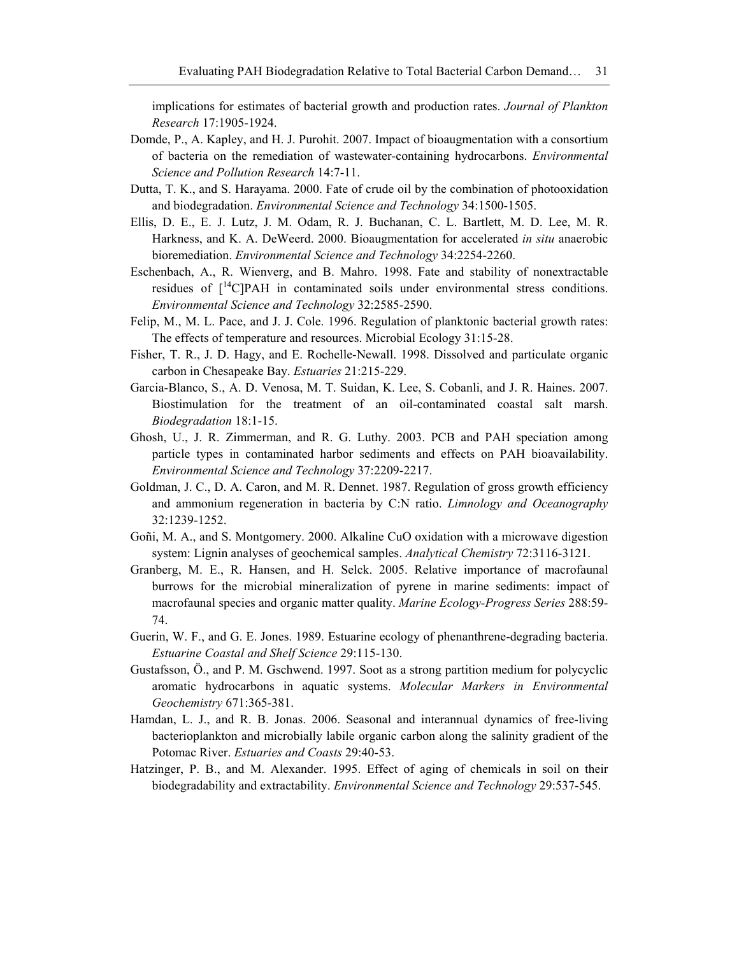implications for estimates of bacterial growth and production rates. *Journal of Plankton Research* 17:1905-1924.

- Domde, P., A. Kapley, and H. J. Purohit. 2007. Impact of bioaugmentation with a consortium of bacteria on the remediation of wastewater-containing hydrocarbons. *Environmental Science and Pollution Research* 14:7-11.
- Dutta, T. K., and S. Harayama. 2000. Fate of crude oil by the combination of photooxidation and biodegradation. *Environmental Science and Technology* 34:1500-1505.
- Ellis, D. E., E. J. Lutz, J. M. Odam, R. J. Buchanan, C. L. Bartlett, M. D. Lee, M. R. Harkness, and K. A. DeWeerd. 2000. Bioaugmentation for accelerated *in situ* anaerobic bioremediation. *Environmental Science and Technology* 34:2254-2260.
- Eschenbach, A., R. Wienverg, and B. Mahro. 1998. Fate and stability of nonextractable residues of  $\int_1^{14}$ C|PAH in contaminated soils under environmental stress conditions. *Environmental Science and Technology* 32:2585-2590.
- Felip, M., M. L. Pace, and J. J. Cole. 1996. Regulation of planktonic bacterial growth rates: The effects of temperature and resources. Microbial Ecology 31:15-28.
- Fisher, T. R., J. D. Hagy, and E. Rochelle-Newall. 1998. Dissolved and particulate organic carbon in Chesapeake Bay. *Estuaries* 21:215-229.
- Garcia-Blanco, S., A. D. Venosa, M. T. Suidan, K. Lee, S. Cobanli, and J. R. Haines. 2007. Biostimulation for the treatment of an oil-contaminated coastal salt marsh. *Biodegradation* 18:1-15.
- Ghosh, U., J. R. Zimmerman, and R. G. Luthy. 2003. PCB and PAH speciation among particle types in contaminated harbor sediments and effects on PAH bioavailability. *Environmental Science and Technology* 37:2209-2217.
- Goldman, J. C., D. A. Caron, and M. R. Dennet. 1987. Regulation of gross growth efficiency and ammonium regeneration in bacteria by C:N ratio. *Limnology and Oceanography*  32:1239-1252.
- Goñi, M. A., and S. Montgomery. 2000. Alkaline CuO oxidation with a microwave digestion system: Lignin analyses of geochemical samples. *Analytical Chemistry* 72:3116-3121.
- Granberg, M. E., R. Hansen, and H. Selck. 2005. Relative importance of macrofaunal burrows for the microbial mineralization of pyrene in marine sediments: impact of macrofaunal species and organic matter quality. *Marine Ecology-Progress Series* 288:59- 74.
- Guerin, W. F., and G. E. Jones. 1989. Estuarine ecology of phenanthrene-degrading bacteria. *Estuarine Coastal and Shelf Science* 29:115-130.
- Gustafsson, Ö., and P. M. Gschwend. 1997. Soot as a strong partition medium for polycyclic aromatic hydrocarbons in aquatic systems. *Molecular Markers in Environmental Geochemistry* 671:365-381.
- Hamdan, L. J., and R. B. Jonas. 2006. Seasonal and interannual dynamics of free-living bacterioplankton and microbially labile organic carbon along the salinity gradient of the Potomac River. *Estuaries and Coasts* 29:40-53.
- Hatzinger, P. B., and M. Alexander. 1995. Effect of aging of chemicals in soil on their biodegradability and extractability. *Environmental Science and Technology* 29:537-545.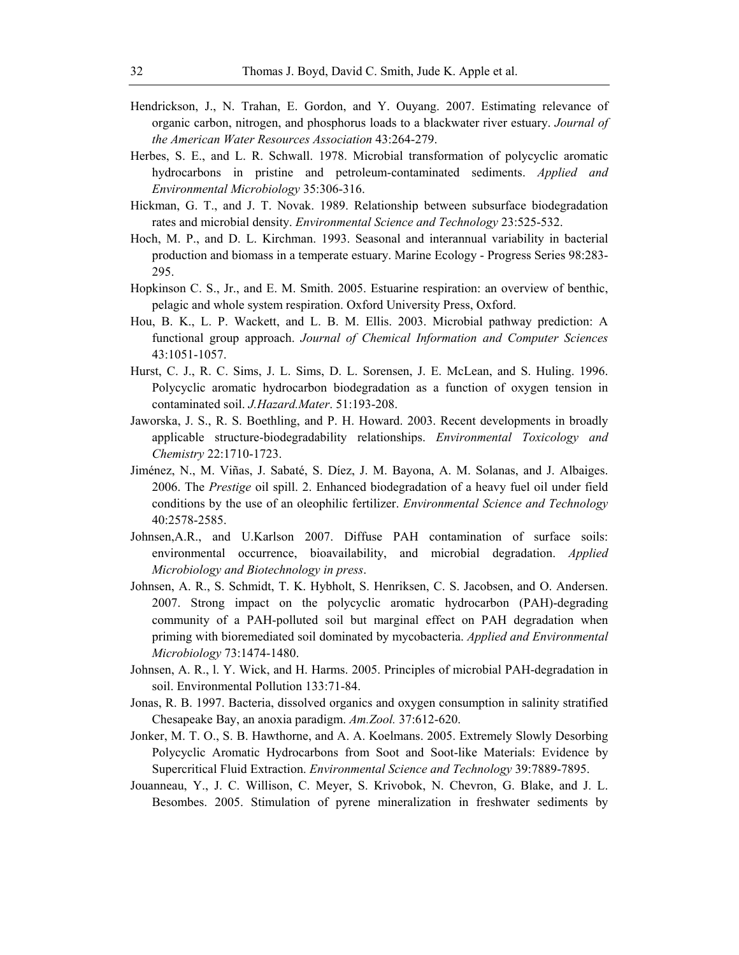- Hendrickson, J., N. Trahan, E. Gordon, and Y. Ouyang. 2007. Estimating relevance of organic carbon, nitrogen, and phosphorus loads to a blackwater river estuary. *Journal of the American Water Resources Association* 43:264-279.
- Herbes, S. E., and L. R. Schwall. 1978. Microbial transformation of polycyclic aromatic hydrocarbons in pristine and petroleum-contaminated sediments. *Applied and Environmental Microbiology* 35:306-316.
- Hickman, G. T., and J. T. Novak. 1989. Relationship between subsurface biodegradation rates and microbial density. *Environmental Science and Technology* 23:525-532.
- Hoch, M. P., and D. L. Kirchman. 1993. Seasonal and interannual variability in bacterial production and biomass in a temperate estuary. Marine Ecology - Progress Series 98:283- 295.
- Hopkinson C. S., Jr., and E. M. Smith. 2005. Estuarine respiration: an overview of benthic, pelagic and whole system respiration. Oxford University Press, Oxford.
- Hou, B. K., L. P. Wackett, and L. B. M. Ellis. 2003. Microbial pathway prediction: A functional group approach. *Journal of Chemical Information and Computer Sciences* 43:1051-1057.
- Hurst, C. J., R. C. Sims, J. L. Sims, D. L. Sorensen, J. E. McLean, and S. Huling. 1996. Polycyclic aromatic hydrocarbon biodegradation as a function of oxygen tension in contaminated soil. *J.Hazard.Mater*. 51:193-208.
- Jaworska, J. S., R. S. Boethling, and P. H. Howard. 2003. Recent developments in broadly applicable structure-biodegradability relationships. *Environmental Toxicology and Chemistry* 22:1710-1723.
- Jiménez, N., M. Viñas, J. Sabaté, S. Díez, J. M. Bayona, A. M. Solanas, and J. Albaiges. 2006. The *Prestige* oil spill. 2. Enhanced biodegradation of a heavy fuel oil under field conditions by the use of an oleophilic fertilizer. *Environmental Science and Technology* 40:2578-2585.
- Johnsen,A.R., and U.Karlson 2007. Diffuse PAH contamination of surface soils: environmental occurrence, bioavailability, and microbial degradation. *Applied Microbiology and Biotechnology in press*.
- Johnsen, A. R., S. Schmidt, T. K. Hybholt, S. Henriksen, C. S. Jacobsen, and O. Andersen. 2007. Strong impact on the polycyclic aromatic hydrocarbon (PAH)-degrading community of a PAH-polluted soil but marginal effect on PAH degradation when priming with bioremediated soil dominated by mycobacteria. *Applied and Environmental Microbiology* 73:1474-1480.
- Johnsen, A. R., l. Y. Wick, and H. Harms. 2005. Principles of microbial PAH-degradation in soil. Environmental Pollution 133:71-84.
- Jonas, R. B. 1997. Bacteria, dissolved organics and oxygen consumption in salinity stratified Chesapeake Bay, an anoxia paradigm. *Am.Zool.* 37:612-620.
- Jonker, M. T. O., S. B. Hawthorne, and A. A. Koelmans. 2005. Extremely Slowly Desorbing Polycyclic Aromatic Hydrocarbons from Soot and Soot-like Materials: Evidence by Supercritical Fluid Extraction. *Environmental Science and Technology* 39:7889-7895.
- Jouanneau, Y., J. C. Willison, C. Meyer, S. Krivobok, N. Chevron, G. Blake, and J. L. Besombes. 2005. Stimulation of pyrene mineralization in freshwater sediments by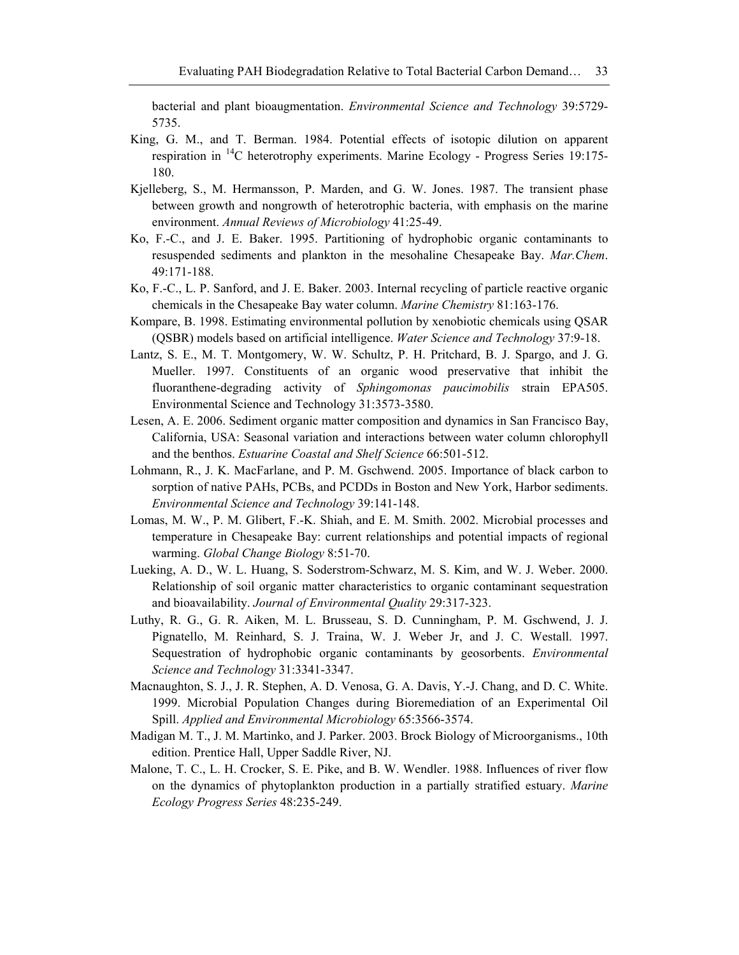bacterial and plant bioaugmentation. *Environmental Science and Technology* 39:5729- 5735.

- King, G. M., and T. Berman. 1984. Potential effects of isotopic dilution on apparent respiration in 14C heterotrophy experiments. Marine Ecology - Progress Series 19:175- 180.
- Kjelleberg, S., M. Hermansson, P. Marden, and G. W. Jones. 1987. The transient phase between growth and nongrowth of heterotrophic bacteria, with emphasis on the marine environment. *Annual Reviews of Microbiology* 41:25-49.
- Ko, F.-C., and J. E. Baker. 1995. Partitioning of hydrophobic organic contaminants to resuspended sediments and plankton in the mesohaline Chesapeake Bay. *Mar.Chem*. 49:171-188.
- Ko, F.-C., L. P. Sanford, and J. E. Baker. 2003. Internal recycling of particle reactive organic chemicals in the Chesapeake Bay water column. *Marine Chemistry* 81:163-176.
- Kompare, B. 1998. Estimating environmental pollution by xenobiotic chemicals using QSAR (QSBR) models based on artificial intelligence. *Water Science and Technology* 37:9-18.
- Lantz, S. E., M. T. Montgomery, W. W. Schultz, P. H. Pritchard, B. J. Spargo, and J. G. Mueller. 1997. Constituents of an organic wood preservative that inhibit the fluoranthene-degrading activity of *Sphingomonas paucimobilis* strain EPA505. Environmental Science and Technology 31:3573-3580.
- Lesen, A. E. 2006. Sediment organic matter composition and dynamics in San Francisco Bay, California, USA: Seasonal variation and interactions between water column chlorophyll and the benthos. *Estuarine Coastal and Shelf Science* 66:501-512.
- Lohmann, R., J. K. MacFarlane, and P. M. Gschwend. 2005. Importance of black carbon to sorption of native PAHs, PCBs, and PCDDs in Boston and New York, Harbor sediments. *Environmental Science and Technology* 39:141-148.
- Lomas, M. W., P. M. Glibert, F.-K. Shiah, and E. M. Smith. 2002. Microbial processes and temperature in Chesapeake Bay: current relationships and potential impacts of regional warming. *Global Change Biology* 8:51-70.
- Lueking, A. D., W. L. Huang, S. Soderstrom-Schwarz, M. S. Kim, and W. J. Weber. 2000. Relationship of soil organic matter characteristics to organic contaminant sequestration and bioavailability. *Journal of Environmental Quality* 29:317-323.
- Luthy, R. G., G. R. Aiken, M. L. Brusseau, S. D. Cunningham, P. M. Gschwend, J. J. Pignatello, M. Reinhard, S. J. Traina, W. J. Weber Jr, and J. C. Westall. 1997. Sequestration of hydrophobic organic contaminants by geosorbents. *Environmental Science and Technology* 31:3341-3347.
- Macnaughton, S. J., J. R. Stephen, A. D. Venosa, G. A. Davis, Y.-J. Chang, and D. C. White. 1999. Microbial Population Changes during Bioremediation of an Experimental Oil Spill. *Applied and Environmental Microbiology* 65:3566-3574.
- Madigan M. T., J. M. Martinko, and J. Parker. 2003. Brock Biology of Microorganisms., 10th edition. Prentice Hall, Upper Saddle River, NJ.
- Malone, T. C., L. H. Crocker, S. E. Pike, and B. W. Wendler. 1988. Influences of river flow on the dynamics of phytoplankton production in a partially stratified estuary. *Marine Ecology Progress Series* 48:235-249.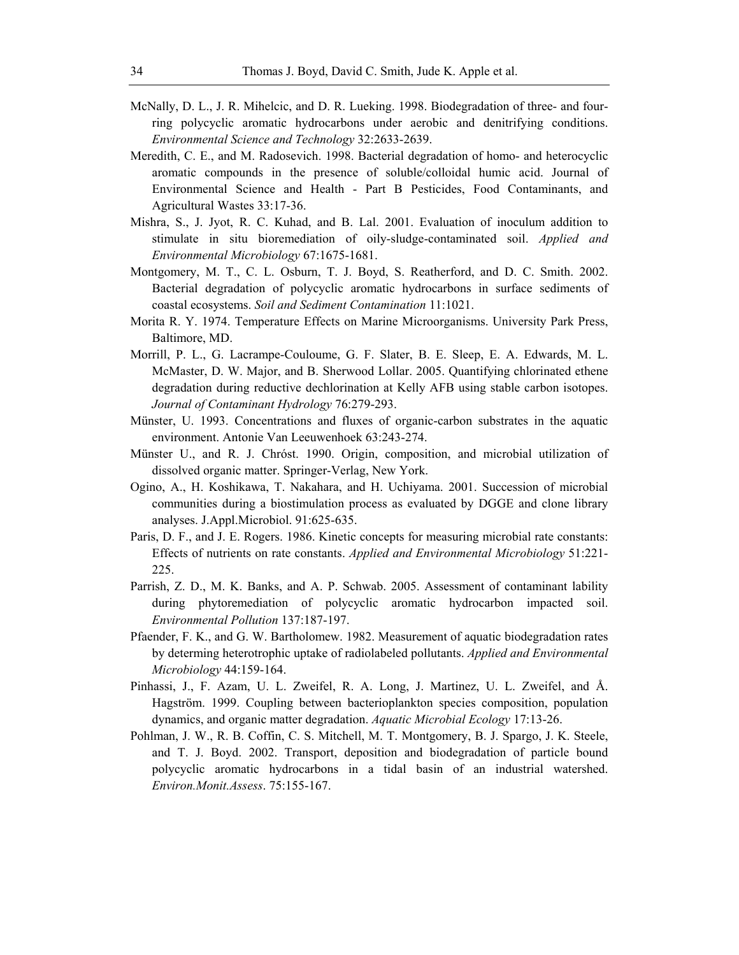- McNally, D. L., J. R. Mihelcic, and D. R. Lueking. 1998. Biodegradation of three- and fourring polycyclic aromatic hydrocarbons under aerobic and denitrifying conditions. *Environmental Science and Technology* 32:2633-2639.
- Meredith, C. E., and M. Radosevich. 1998. Bacterial degradation of homo- and heterocyclic aromatic compounds in the presence of soluble/colloidal humic acid. Journal of Environmental Science and Health - Part B Pesticides, Food Contaminants, and Agricultural Wastes 33:17-36.
- Mishra, S., J. Jyot, R. C. Kuhad, and B. Lal. 2001. Evaluation of inoculum addition to stimulate in situ bioremediation of oily-sludge-contaminated soil. *Applied and Environmental Microbiology* 67:1675-1681.
- Montgomery, M. T., C. L. Osburn, T. J. Boyd, S. Reatherford, and D. C. Smith. 2002. Bacterial degradation of polycyclic aromatic hydrocarbons in surface sediments of coastal ecosystems. *Soil and Sediment Contamination* 11:1021.
- Morita R. Y. 1974. Temperature Effects on Marine Microorganisms. University Park Press, Baltimore, MD.
- Morrill, P. L., G. Lacrampe-Couloume, G. F. Slater, B. E. Sleep, E. A. Edwards, M. L. McMaster, D. W. Major, and B. Sherwood Lollar. 2005. Quantifying chlorinated ethene degradation during reductive dechlorination at Kelly AFB using stable carbon isotopes. *Journal of Contaminant Hydrology* 76:279-293.
- Münster, U. 1993. Concentrations and fluxes of organic-carbon substrates in the aquatic environment. Antonie Van Leeuwenhoek 63:243-274.
- Münster U., and R. J. Chróst. 1990. Origin, composition, and microbial utilization of dissolved organic matter. Springer-Verlag, New York.
- Ogino, A., H. Koshikawa, T. Nakahara, and H. Uchiyama. 2001. Succession of microbial communities during a biostimulation process as evaluated by DGGE and clone library analyses. J.Appl.Microbiol. 91:625-635.
- Paris, D. F., and J. E. Rogers. 1986. Kinetic concepts for measuring microbial rate constants: Effects of nutrients on rate constants. *Applied and Environmental Microbiology* 51:221- 225.
- Parrish, Z. D., M. K. Banks, and A. P. Schwab. 2005. Assessment of contaminant lability during phytoremediation of polycyclic aromatic hydrocarbon impacted soil. *Environmental Pollution* 137:187-197.
- Pfaender, F. K., and G. W. Bartholomew. 1982. Measurement of aquatic biodegradation rates by determing heterotrophic uptake of radiolabeled pollutants. *Applied and Environmental Microbiology* 44:159-164.
- Pinhassi, J., F. Azam, U. L. Zweifel, R. A. Long, J. Martinez, U. L. Zweifel, and Å. Hagström. 1999. Coupling between bacterioplankton species composition, population dynamics, and organic matter degradation. *Aquatic Microbial Ecology* 17:13-26.
- Pohlman, J. W., R. B. Coffin, C. S. Mitchell, M. T. Montgomery, B. J. Spargo, J. K. Steele, and T. J. Boyd. 2002. Transport, deposition and biodegradation of particle bound polycyclic aromatic hydrocarbons in a tidal basin of an industrial watershed. *Environ.Monit.Assess*. 75:155-167.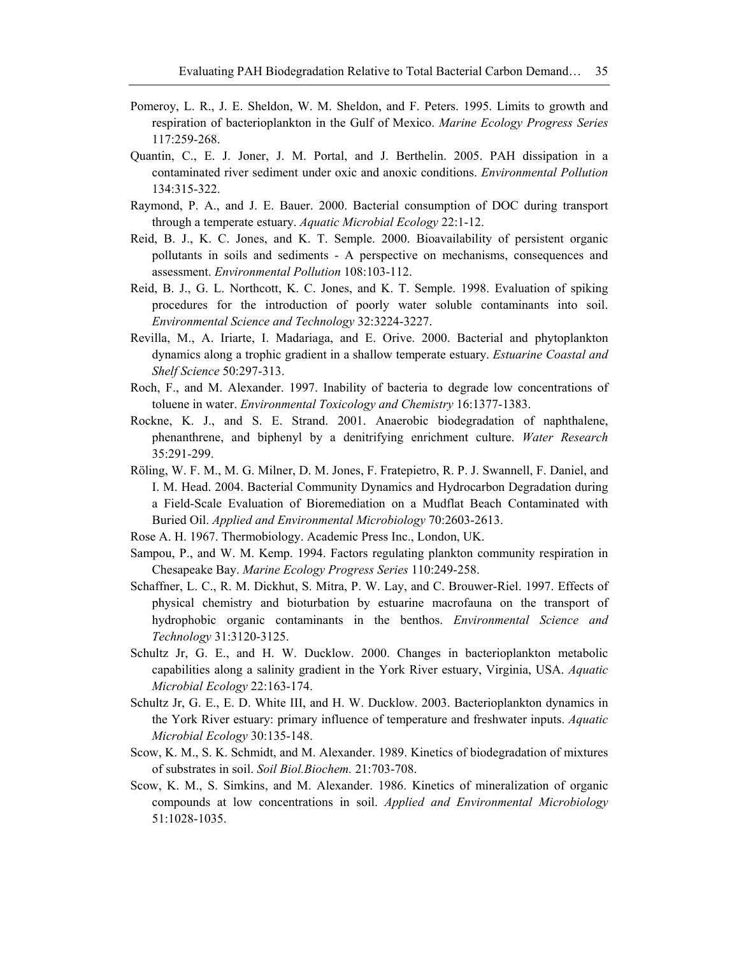- Pomeroy, L. R., J. E. Sheldon, W. M. Sheldon, and F. Peters. 1995. Limits to growth and respiration of bacterioplankton in the Gulf of Mexico. *Marine Ecology Progress Series* 117:259-268.
- Quantin, C., E. J. Joner, J. M. Portal, and J. Berthelin. 2005. PAH dissipation in a contaminated river sediment under oxic and anoxic conditions. *Environmental Pollution* 134:315-322.
- Raymond, P. A., and J. E. Bauer. 2000. Bacterial consumption of DOC during transport through a temperate estuary. *Aquatic Microbial Ecology* 22:1-12.
- Reid, B. J., K. C. Jones, and K. T. Semple. 2000. Bioavailability of persistent organic pollutants in soils and sediments - A perspective on mechanisms, consequences and assessment. *Environmental Pollution* 108:103-112.
- Reid, B. J., G. L. Northcott, K. C. Jones, and K. T. Semple. 1998. Evaluation of spiking procedures for the introduction of poorly water soluble contaminants into soil. *Environmental Science and Technology* 32:3224-3227.
- Revilla, M., A. Iriarte, I. Madariaga, and E. Orive. 2000. Bacterial and phytoplankton dynamics along a trophic gradient in a shallow temperate estuary. *Estuarine Coastal and Shelf Science* 50:297-313.
- Roch, F., and M. Alexander. 1997. Inability of bacteria to degrade low concentrations of toluene in water. *Environmental Toxicology and Chemistry* 16:1377-1383.
- Rockne, K. J., and S. E. Strand. 2001. Anaerobic biodegradation of naphthalene, phenanthrene, and biphenyl by a denitrifying enrichment culture. *Water Research* 35:291-299.
- Röling, W. F. M., M. G. Milner, D. M. Jones, F. Fratepietro, R. P. J. Swannell, F. Daniel, and I. M. Head. 2004. Bacterial Community Dynamics and Hydrocarbon Degradation during a Field-Scale Evaluation of Bioremediation on a Mudflat Beach Contaminated with Buried Oil. *Applied and Environmental Microbiology* 70:2603-2613.
- Rose A. H. 1967. Thermobiology. Academic Press Inc., London, UK.
- Sampou, P., and W. M. Kemp. 1994. Factors regulating plankton community respiration in Chesapeake Bay. *Marine Ecology Progress Series* 110:249-258.
- Schaffner, L. C., R. M. Dickhut, S. Mitra, P. W. Lay, and C. Brouwer-Riel. 1997. Effects of physical chemistry and bioturbation by estuarine macrofauna on the transport of hydrophobic organic contaminants in the benthos. *Environmental Science and Technology* 31:3120-3125.
- Schultz Jr, G. E., and H. W. Ducklow. 2000. Changes in bacterioplankton metabolic capabilities along a salinity gradient in the York River estuary, Virginia, USA. *Aquatic Microbial Ecology* 22:163-174.
- Schultz Jr, G. E., E. D. White III, and H. W. Ducklow. 2003. Bacterioplankton dynamics in the York River estuary: primary influence of temperature and freshwater inputs. *Aquatic Microbial Ecology* 30:135-148.
- Scow, K. M., S. K. Schmidt, and M. Alexander. 1989. Kinetics of biodegradation of mixtures of substrates in soil. *Soil Biol.Biochem.* 21:703-708.
- Scow, K. M., S. Simkins, and M. Alexander. 1986. Kinetics of mineralization of organic compounds at low concentrations in soil. *Applied and Environmental Microbiology* 51:1028-1035.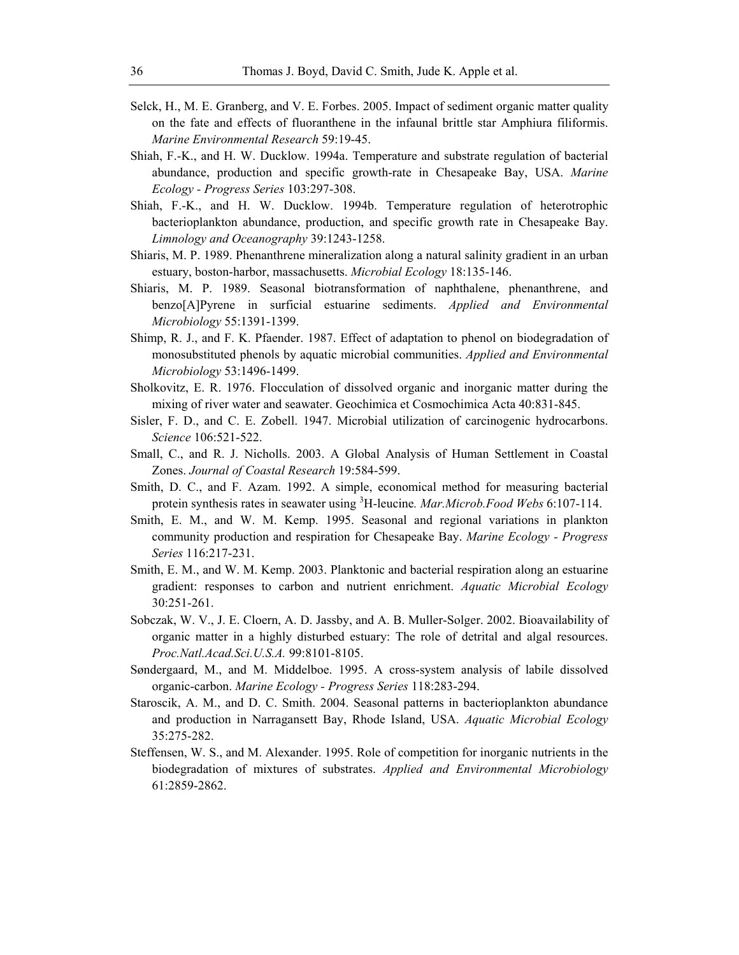- Selck, H., M. E. Granberg, and V. E. Forbes. 2005. Impact of sediment organic matter quality on the fate and effects of fluoranthene in the infaunal brittle star Amphiura filiformis. *Marine Environmental Research* 59:19-45.
- Shiah, F.-K., and H. W. Ducklow. 1994a. Temperature and substrate regulation of bacterial abundance, production and specific growth-rate in Chesapeake Bay, USA. *Marine Ecology - Progress Series* 103:297-308.
- Shiah, F.-K., and H. W. Ducklow. 1994b. Temperature regulation of heterotrophic bacterioplankton abundance, production, and specific growth rate in Chesapeake Bay. *Limnology and Oceanography* 39:1243-1258.
- Shiaris, M. P. 1989. Phenanthrene mineralization along a natural salinity gradient in an urban estuary, boston-harbor, massachusetts. *Microbial Ecology* 18:135-146.
- Shiaris, M. P. 1989. Seasonal biotransformation of naphthalene, phenanthrene, and benzo[A]Pyrene in surficial estuarine sediments. *Applied and Environmental Microbiology* 55:1391-1399.
- Shimp, R. J., and F. K. Pfaender. 1987. Effect of adaptation to phenol on biodegradation of monosubstituted phenols by aquatic microbial communities. *Applied and Environmental Microbiology* 53:1496-1499.
- Sholkovitz, E. R. 1976. Flocculation of dissolved organic and inorganic matter during the mixing of river water and seawater. Geochimica et Cosmochimica Acta 40:831-845.
- Sisler, F. D., and C. E. Zobell. 1947. Microbial utilization of carcinogenic hydrocarbons. *Science* 106:521-522.
- Small, C., and R. J. Nicholls. 2003. A Global Analysis of Human Settlement in Coastal Zones. *Journal of Coastal Research* 19:584-599.
- Smith, D. C., and F. Azam. 1992. A simple, economical method for measuring bacterial protein synthesis rates in seawater using <sup>3</sup>H-leucine. *Mar.Microb.Food Webs* 6:107-114.
- Smith, E. M., and W. M. Kemp. 1995. Seasonal and regional variations in plankton community production and respiration for Chesapeake Bay. *Marine Ecology - Progress Series* 116:217-231.
- Smith, E. M., and W. M. Kemp. 2003. Planktonic and bacterial respiration along an estuarine gradient: responses to carbon and nutrient enrichment. *Aquatic Microbial Ecology* 30:251-261.
- Sobczak, W. V., J. E. Cloern, A. D. Jassby, and A. B. Muller-Solger. 2002. Bioavailability of organic matter in a highly disturbed estuary: The role of detrital and algal resources. *Proc.Natl.Acad.Sci.U.S.A.* 99:8101-8105.
- Søndergaard, M., and M. Middelboe. 1995. A cross-system analysis of labile dissolved organic-carbon. *Marine Ecology - Progress Series* 118:283-294.
- Staroscik, A. M., and D. C. Smith. 2004. Seasonal patterns in bacterioplankton abundance and production in Narragansett Bay, Rhode Island, USA. *Aquatic Microbial Ecology* 35:275-282.
- Steffensen, W. S., and M. Alexander. 1995. Role of competition for inorganic nutrients in the biodegradation of mixtures of substrates. *Applied and Environmental Microbiology* 61:2859-2862.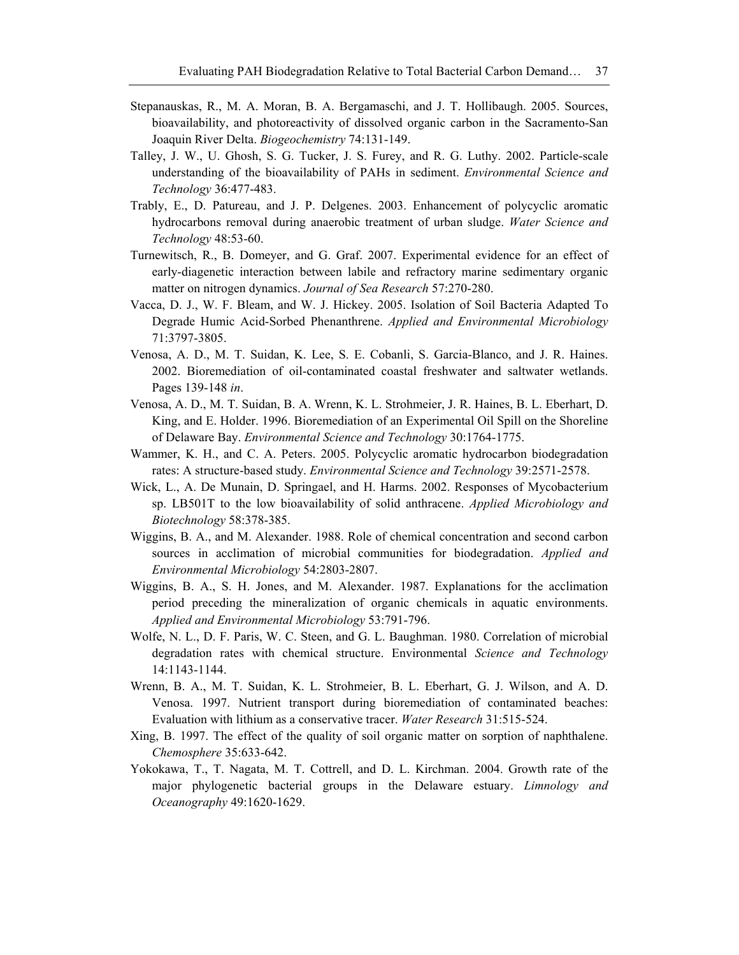- Stepanauskas, R., M. A. Moran, B. A. Bergamaschi, and J. T. Hollibaugh. 2005. Sources, bioavailability, and photoreactivity of dissolved organic carbon in the Sacramento-San Joaquin River Delta. *Biogeochemistry* 74:131-149.
- Talley, J. W., U. Ghosh, S. G. Tucker, J. S. Furey, and R. G. Luthy. 2002. Particle-scale understanding of the bioavailability of PAHs in sediment. *Environmental Science and Technology* 36:477-483.
- Trably, E., D. Patureau, and J. P. Delgenes. 2003. Enhancement of polycyclic aromatic hydrocarbons removal during anaerobic treatment of urban sludge. *Water Science and Technology* 48:53-60.
- Turnewitsch, R., B. Domeyer, and G. Graf. 2007. Experimental evidence for an effect of early-diagenetic interaction between labile and refractory marine sedimentary organic matter on nitrogen dynamics. *Journal of Sea Research* 57:270-280.
- Vacca, D. J., W. F. Bleam, and W. J. Hickey. 2005. Isolation of Soil Bacteria Adapted To Degrade Humic Acid-Sorbed Phenanthrene. *Applied and Environmental Microbiology* 71:3797-3805.
- Venosa, A. D., M. T. Suidan, K. Lee, S. E. Cobanli, S. Garcia-Blanco, and J. R. Haines. 2002. Bioremediation of oil-contaminated coastal freshwater and saltwater wetlands. Pages 139-148 *in*.
- Venosa, A. D., M. T. Suidan, B. A. Wrenn, K. L. Strohmeier, J. R. Haines, B. L. Eberhart, D. King, and E. Holder. 1996. Bioremediation of an Experimental Oil Spill on the Shoreline of Delaware Bay. *Environmental Science and Technology* 30:1764-1775.
- Wammer, K. H., and C. A. Peters. 2005. Polycyclic aromatic hydrocarbon biodegradation rates: A structure-based study. *Environmental Science and Technology* 39:2571-2578.
- Wick, L., A. De Munain, D. Springael, and H. Harms. 2002. Responses of Mycobacterium sp. LB501T to the low bioavailability of solid anthracene. *Applied Microbiology and Biotechnology* 58:378-385.
- Wiggins, B. A., and M. Alexander. 1988. Role of chemical concentration and second carbon sources in acclimation of microbial communities for biodegradation. *Applied and Environmental Microbiology* 54:2803-2807.
- Wiggins, B. A., S. H. Jones, and M. Alexander. 1987. Explanations for the acclimation period preceding the mineralization of organic chemicals in aquatic environments. *Applied and Environmental Microbiology* 53:791-796.
- Wolfe, N. L., D. F. Paris, W. C. Steen, and G. L. Baughman. 1980. Correlation of microbial degradation rates with chemical structure. Environmental *Science and Technology* 14:1143-1144.
- Wrenn, B. A., M. T. Suidan, K. L. Strohmeier, B. L. Eberhart, G. J. Wilson, and A. D. Venosa. 1997. Nutrient transport during bioremediation of contaminated beaches: Evaluation with lithium as a conservative tracer. *Water Research* 31:515-524.
- Xing, B. 1997. The effect of the quality of soil organic matter on sorption of naphthalene. *Chemosphere* 35:633-642.
- Yokokawa, T., T. Nagata, M. T. Cottrell, and D. L. Kirchman. 2004. Growth rate of the major phylogenetic bacterial groups in the Delaware estuary. *Limnology and Oceanography* 49:1620-1629.